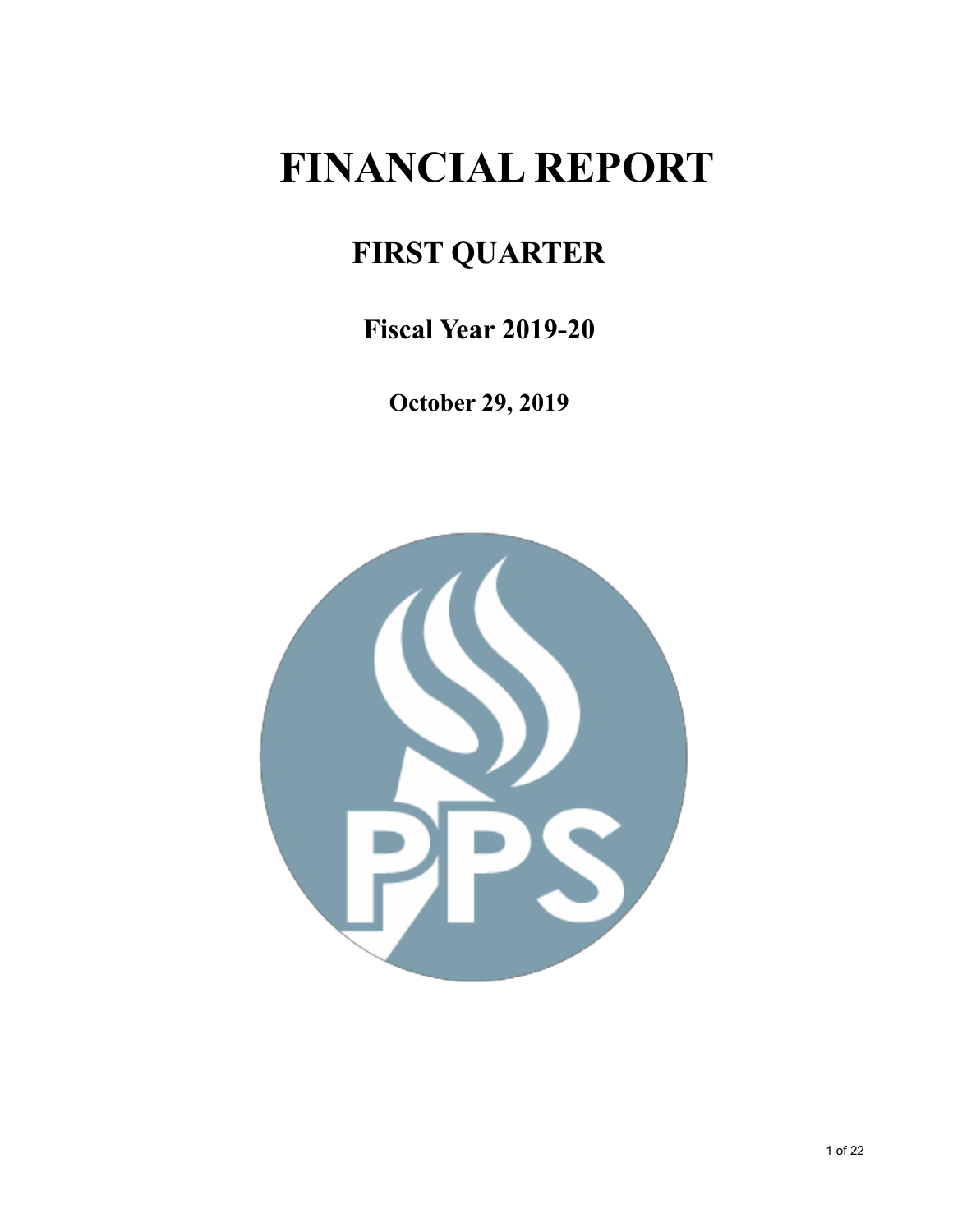# **FINANCIAL REPORT**

# **FIRST QUARTER**

**Fiscal Year 2019-20**

**October 29, 2019**

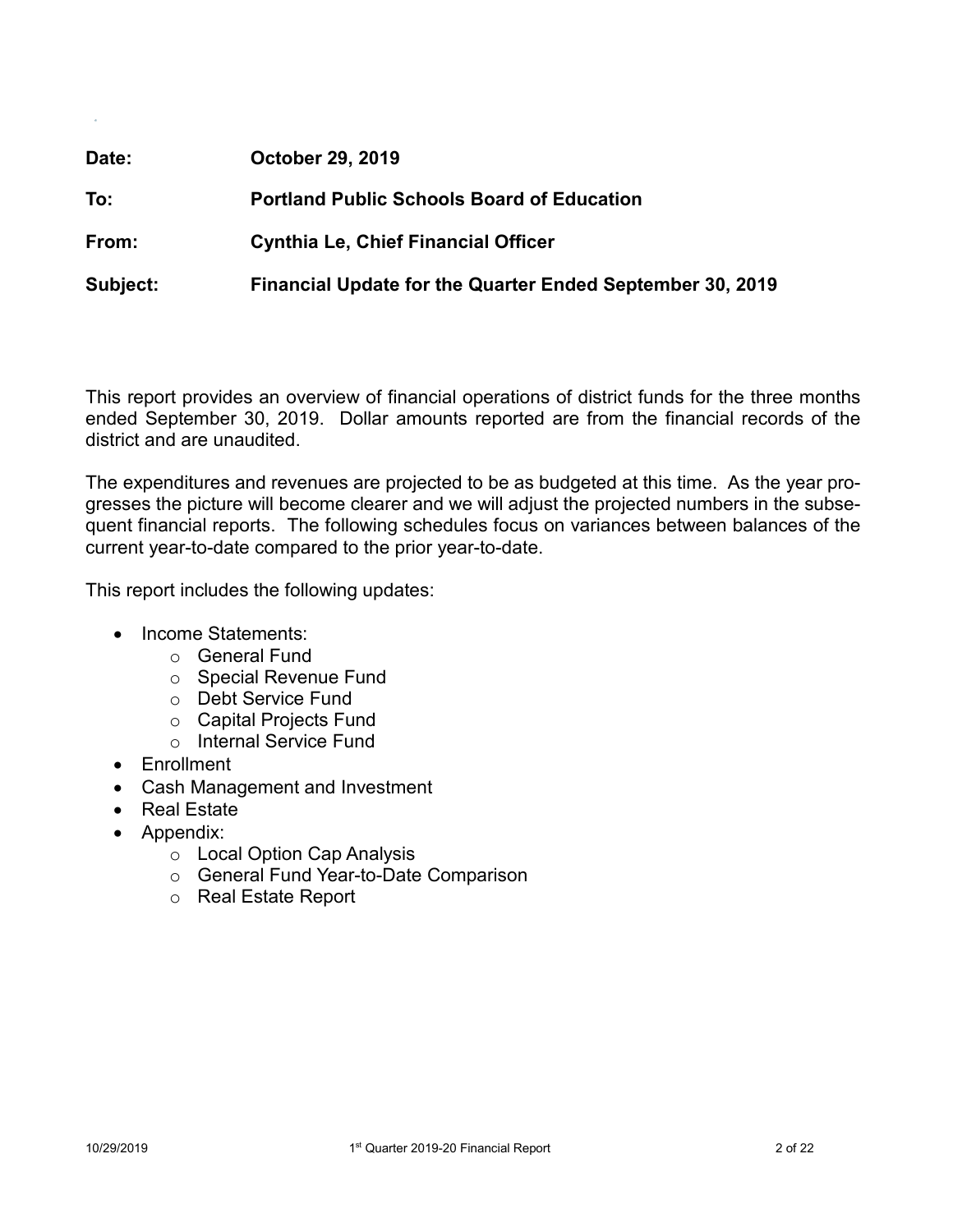| Date:    | <b>October 29, 2019</b>                                   |
|----------|-----------------------------------------------------------|
| To:      | <b>Portland Public Schools Board of Education</b>         |
| From:    | <b>Cynthia Le, Chief Financial Officer</b>                |
| Subject: | Financial Update for the Quarter Ended September 30, 2019 |

This report provides an overview of financial operations of district funds for the three months ended September 30, 2019. Dollar amounts reported are from the financial records of the district and are unaudited.

The expenditures and revenues are projected to be as budgeted at this time. As the year progresses the picture will become clearer and we will adjust the projected numbers in the subsequent financial reports. The following schedules focus on variances between balances of the current year-to-date compared to the prior year-to-date.

This report includes the following updates:

- Income Statements:
	- o General Fund
	- o Special Revenue Fund
	- o Debt Service Fund
	- o Capital Projects Fund
	- o Internal Service Fund
- Enrollment
- Cash Management and Investment
- Real Estate
- Appendix:
	- o Local Option Cap Analysis
	- o General Fund Year-to-Date Comparison
	- o Real Estate Report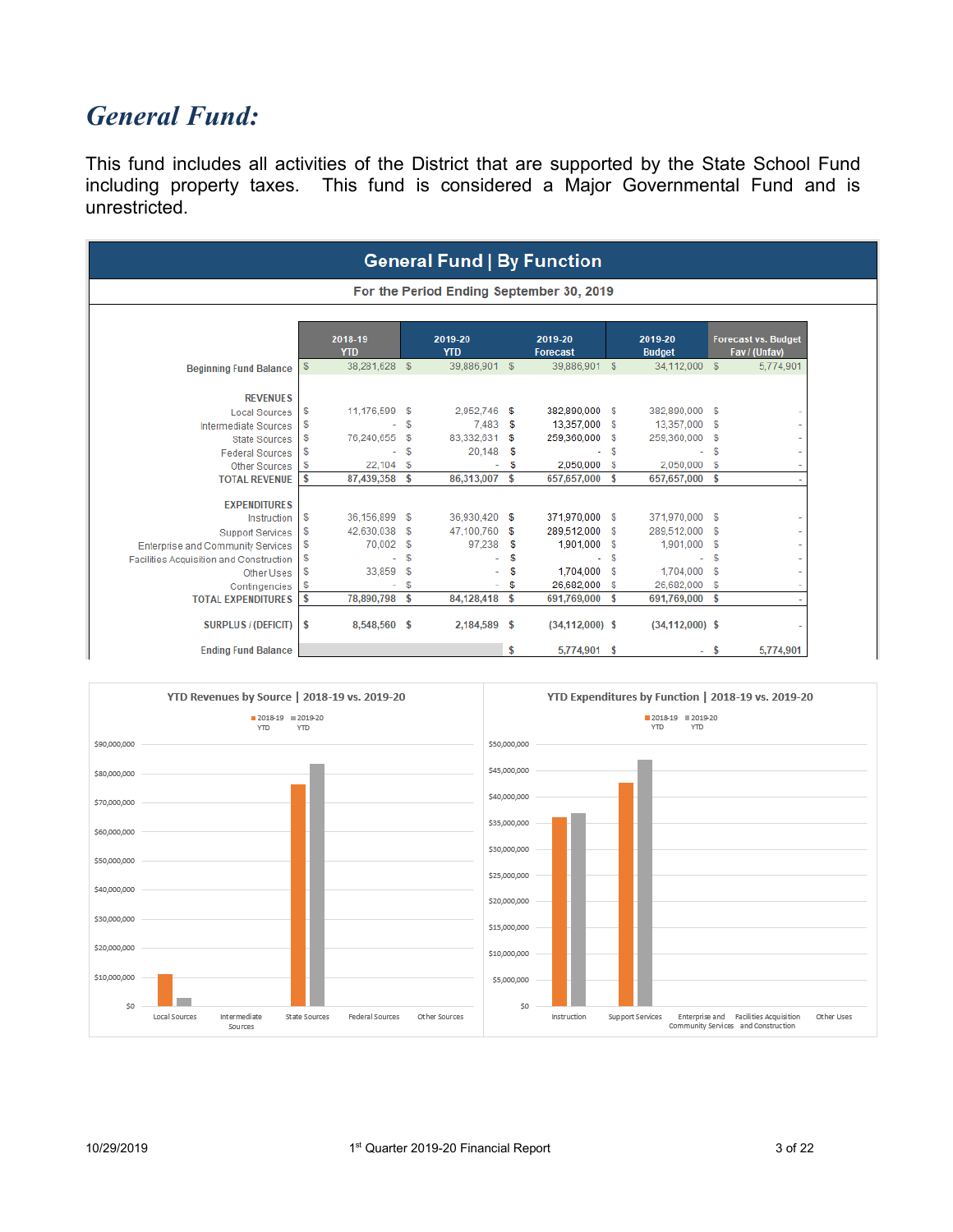### *General Fund:*

This fund includes all activities of the District that are supported by the State School Fund including property taxes. This fund is considered a Major Governmental Fund and is unrestricted.

|                                                |               |                       |               | <b>General Fund   By Function</b>        |    |                            |      |                          |      |                                             |
|------------------------------------------------|---------------|-----------------------|---------------|------------------------------------------|----|----------------------------|------|--------------------------|------|---------------------------------------------|
|                                                |               |                       |               | For the Period Ending September 30, 2019 |    |                            |      |                          |      |                                             |
|                                                |               | 2018-19<br><b>YTD</b> |               | 2019-20<br><b>YTD</b>                    |    | 2019-20<br><b>Forecast</b> |      | 2019-20<br><b>Budget</b> |      | <b>Forecast vs. Budget</b><br>Fav / (Unfav) |
| <b>Beginning Fund Balance</b>                  | $\sqrt[6]{3}$ | 38,281,628 \$         |               | 39,886,901 \$                            |    | 39,886,901 \$              |      | 34,112,000 \$            |      | 5,774,901                                   |
| <b>REVENUES</b>                                |               |                       |               |                                          |    |                            |      |                          |      |                                             |
| <b>Local Sources</b>                           | \$            | 11,176,599 \$         |               | 2,952,746                                | -S | 382,890,000 \$             |      | 382,890,000 \$           |      |                                             |
| <b>Intermediate Sources</b>                    | \$            |                       | \$            | 7.483                                    | \$ | 13,357,000 \$              |      | 13,357,000               | - \$ |                                             |
| <b>State Sources</b>                           | \$            | 76.240.655 \$         |               | 83,332,631                               | S  | 259,360,000                | - \$ | 259,360,000              | - 5  |                                             |
| <b>Federal Sources</b>                         | \$            |                       | \$            | 20,148                                   | S  |                            | S    | ÷                        | \$   |                                             |
| <b>Other Sources</b>                           | \$            | 22,104 \$             |               |                                          | \$ | 2,050,000 \$               |      | 2,050,000                | - 5  |                                             |
| <b>TOTAL REVENUE</b>                           | \$            | 87,439,358 \$         |               | 86,313,007                               | \$ | 657,657,000 \$             |      | 657,657,000 \$           |      |                                             |
| <b>EXPENDITURES</b>                            |               |                       |               |                                          |    |                            |      |                          |      |                                             |
| Instruction                                    | \$            | 36,156,899 \$         |               | 36,930,420 \$                            |    | 371,970,000 \$             |      | 371,970,000 \$           |      |                                             |
| <b>Support Services</b>                        | \$            | 42,630,038            | \$            | 47,100,760                               | S  | 289,512,000 \$             |      | 289,512,000              | - \$ |                                             |
| <b>Enterprise and Community Services</b>       | \$            | 70,002                | $\sqrt[6]{3}$ | 97.238                                   | S  | 1,901,000 \$               |      | 1,901,000                | -S   |                                             |
| <b>Facilities Acquisition and Construction</b> | \$            |                       | \$            |                                          | S  |                            | S    | ٠                        | S    |                                             |
| Other Uses                                     | \$            | 33,859                | $\mathbb{S}$  |                                          | \$ | 1.704.000 \$               |      | 1.704.000                | S.   |                                             |
| Contingencies                                  | \$            |                       | \$            |                                          | \$ | 26,682,000                 | \$   | 26,682,000               | \$   |                                             |
| <b>TOTAL EXPENDITURES</b>                      | \$            | 78,890,798 \$         |               | 84,128,418                               | \$ | 691,769,000 \$             |      | 691,769,000 \$           |      |                                             |
| <b>SURPLUS / (DEFICIT)</b>                     | \$            | 8,548,560 \$          |               | 2,184,589 \$                             |    | $(34, 112, 000)$ \$        |      | $(34, 112, 000)$ \$      |      |                                             |
| <b>Ending Fund Balance</b>                     |               |                       |               |                                          | \$ | 5,774,901 \$               |      |                          | s    | 5,774,901                                   |

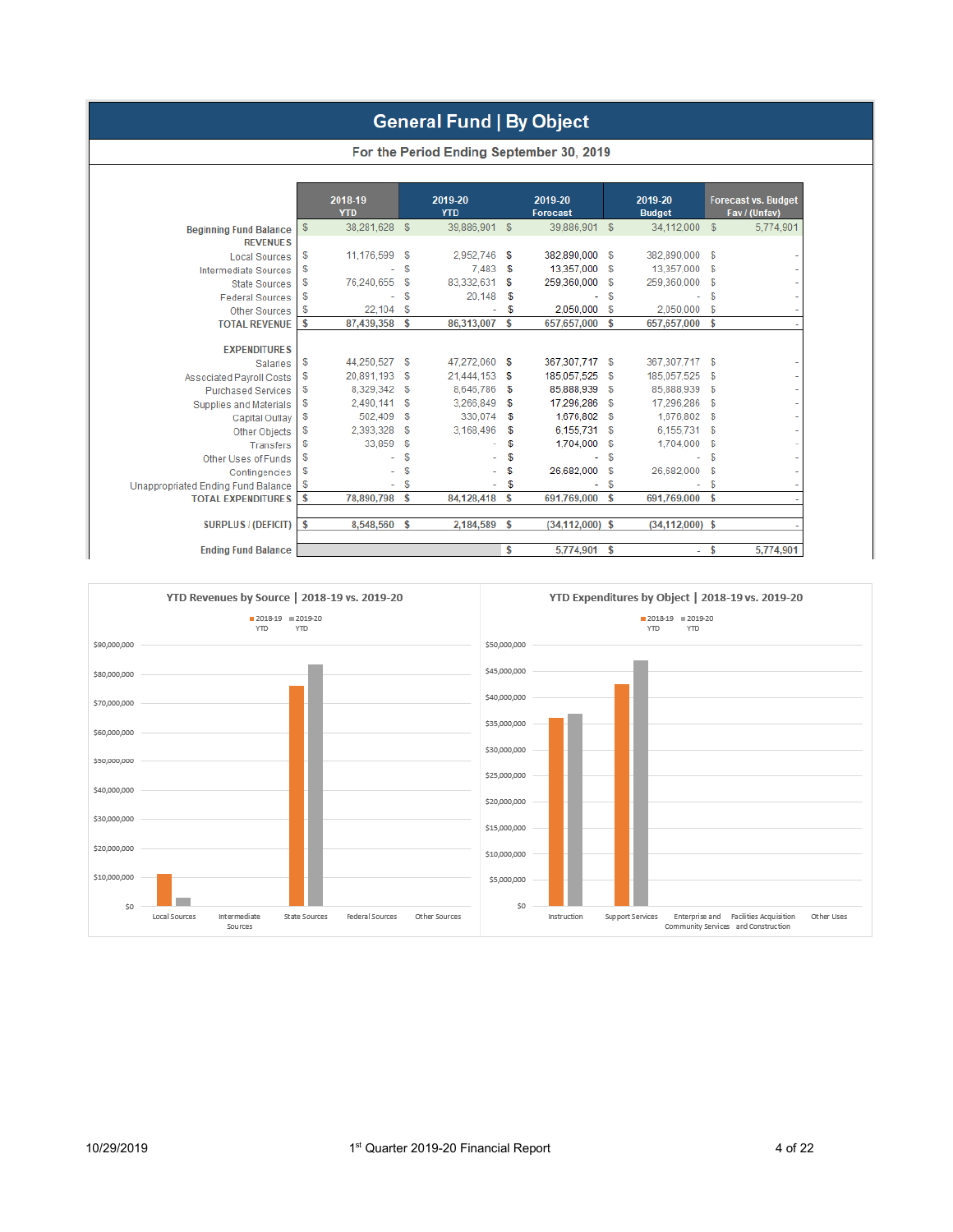#### **General Fund | By Object**

|                               |    |                       |                  | TOI GIV FUNDA ENGING OUDCHING TO, ZUID |        |                            |              |                          |             |
|-------------------------------|----|-----------------------|------------------|----------------------------------------|--------|----------------------------|--------------|--------------------------|-------------|
|                               |    | 2018-19<br><b>YTD</b> |                  | 2019-20<br><b>YTD</b>                  |        | 2019-20<br><b>Forecast</b> |              | 2019-20<br><b>Budget</b> | F           |
| <b>Beginning Fund Balance</b> | S. | 38,281,628            | $\mathcal{F}$    | 39,886,901                             | - \$   | 39,886,901                 | $\mathbb{S}$ | 34.112.000               | S           |
| <b>REVENUES</b>               |    |                       |                  |                                        |        |                            |              |                          |             |
| Local Sources                 | S  | 11,176,599            | \$               | 2,952,746 \$                           |        | 382,890,000 \$             |              | 382,890,000              | S           |
| Intermediate Sources          | S  | ٠                     | \$               | 7.483                                  | - \$   | 13,357,000 \$              |              | 13,357,000               | S           |
| State Sources                 | \$ | 76,240,655            | S                | 83,332,631                             | -5     | 259,360,000                | - \$         | 259,360,000              | S           |
| _ _ _ _                       |    |                       | <b>CONTINUES</b> | 00.440                                 | $\sim$ |                            |              |                          | <b>CONT</b> |

For the Period Ending September 30 2019

| <b>Local Sources</b>               | \$<br>11,176,599    | - 5 | 2,952,746     | s  | 382,890,000         | \$       | 382,890,000         | S. |           |
|------------------------------------|---------------------|-----|---------------|----|---------------------|----------|---------------------|----|-----------|
| <b>Intermediate Sources</b>        | \$                  | \$  | 7,483         | S  | 13,357,000          | \$       | 13,357,000          | \$ |           |
| <b>State Sources</b>               | \$<br>76,240,655    | \$  | 83,332,631    | \$ | 259,360,000         | \$       | 259,360,000         | S  |           |
| <b>Federal Sources</b>             | \$                  | \$  | 20,148        | \$ |                     | \$       |                     | \$ |           |
| <b>Other Sources</b>               | \$<br>22,104 \$     |     |               | S  | 2,050,000           | \$       | 2,050,000           | S  |           |
| <b>TOTAL REVENUE</b>               | \$<br>87,439,358    | \$  | 86,313,007    | \$ | 657,657,000         | \$       | 657,657,000         | \$ |           |
| <b>EXPENDITURES</b>                |                     |     |               |    |                     |          |                     |    |           |
| <b>Salaries</b>                    | \$<br>44,250,527 \$ |     | 47,272,060 \$ |    | 367,307,717         | \$       | 367,307,717         | -S |           |
| <b>Associated Payroll Costs</b>    | \$<br>20,891,193    | \$  | 21,444,153    | \$ | 185,057,525         | S        | 185,057,525         | \$ |           |
| <b>Purchased Services</b>          | \$<br>8,329,342     | S   | 8,646,786     | S  | 85,888,939          | <b>S</b> | 85,888,939          | \$ |           |
| Supplies and Materials             | \$<br>2,490,141     | \$  | 3,266,849     | S  | 17,296,286          | \$       | 17,296,286          | -S |           |
| Capital Outlay                     | \$<br>502,409       | \$  | 330,074       | s  | 1,676,802           | \$       | 1,676,802           | \$ |           |
| Other Objects                      | \$<br>2,393,328     | S   | 3.168,496     | S  | 6,155,731           | -S       | 6.155.731           | S  |           |
| Transfers                          | \$<br>33,859        | S.  |               | \$ | 1,704,000           | -S       | 1,704,000           | \$ |           |
| Other Uses of Funds                | \$                  | \$  |               | \$ |                     | \$       |                     | \$ |           |
| Contingencies                      | \$                  | S   |               | S  | 26.682.000          | \$       | 26,682,000          | S  |           |
| Unappropriated Ending Fund Balance | \$<br>÷             | \$  |               | \$ |                     | \$       |                     | \$ |           |
| <b>TOTAL EXPENDITURES</b>          | \$<br>78,890,798    | \$  | 84,128,418    | \$ | 691,769,000         | \$       | 691,769,000         | \$ |           |
| <b>SURPLUS / (DEFICIT)</b>         | \$<br>8,548,560     | s   | 2,184,589     | S  | $(34, 112, 000)$ \$ |          | $(34, 112, 000)$ \$ |    |           |
| <b>Ending Fund Balance</b>         |                     |     |               |    | 5,774,901           | \$       |                     |    | 5,774,901 |
|                                    |                     |     |               |    |                     |          |                     |    |           |



recast vs. Budget<br>Fav / (Unfav) 5,774,901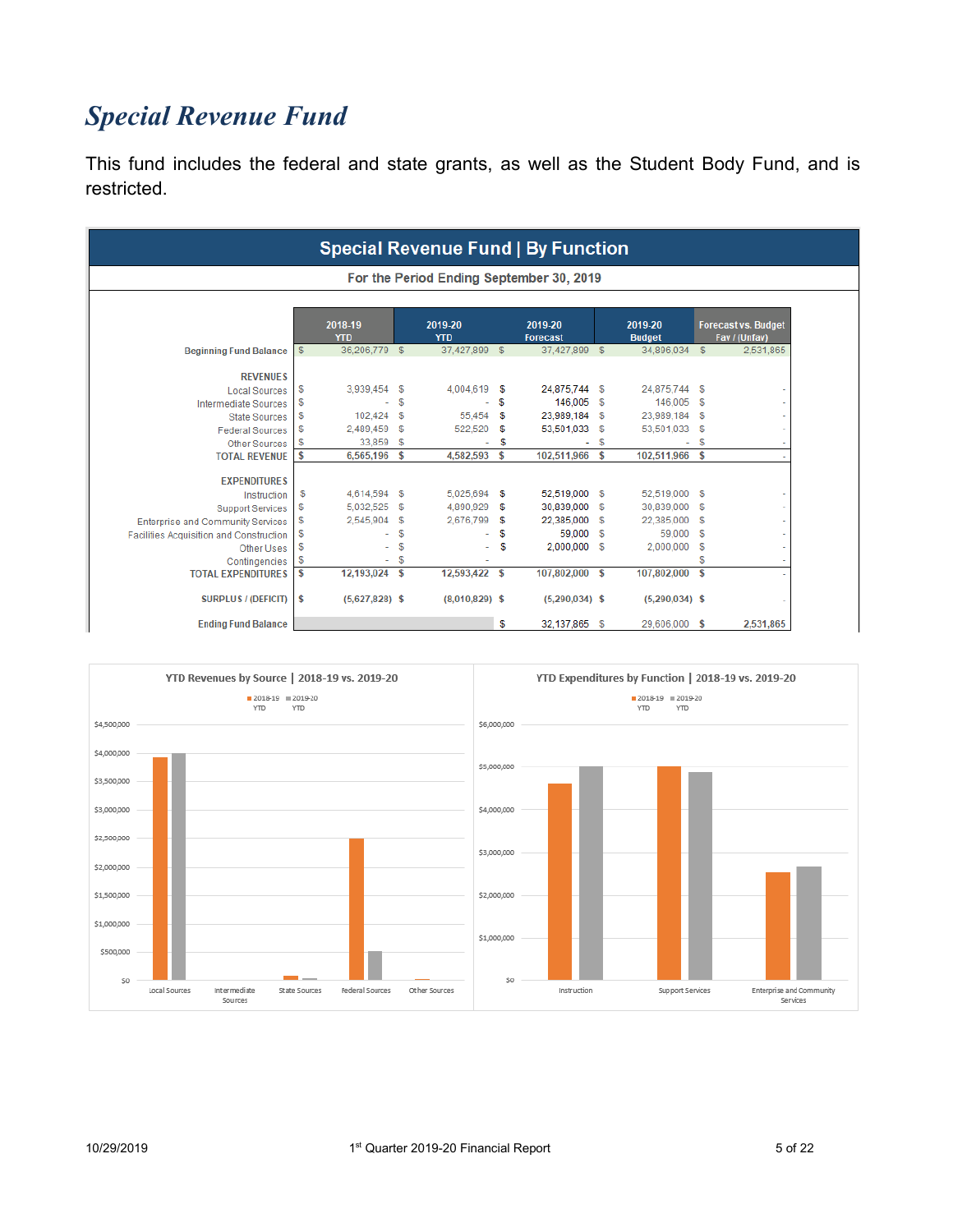# *Special Revenue Fund*

This fund includes the federal and state grants, as well as the Student Body Fund, and is restricted.

|                                                |    |                       |    |                       |    | <b>Special Revenue Fund   By Function</b> |            |                          |            |                                             |
|------------------------------------------------|----|-----------------------|----|-----------------------|----|-------------------------------------------|------------|--------------------------|------------|---------------------------------------------|
|                                                |    |                       |    |                       |    | For the Period Ending September 30, 2019  |            |                          |            |                                             |
|                                                |    | 2018-19<br><b>YTD</b> |    | 2019-20<br><b>YTD</b> |    | 2019-20<br>Forecast                       |            | 2019-20<br><b>Budget</b> |            | <b>Forecast vs. Budget</b><br>Fav / (Unfav) |
| <b>Beginning Fund Balance</b>                  | \$ | 36,206,779 \$         |    | 37,427,899 \$         |    | 37,427,899 \$                             |            | 34,896,034               | $^{\circ}$ | 2,531,865                                   |
| <b>REVENUES</b>                                |    |                       |    |                       |    |                                           |            |                          |            |                                             |
| <b>Local Sources</b>                           | \$ | 3,939,454 \$          |    | 4,004,619 \$          |    | 24,875,744 \$                             |            | 24,875,744 \$            |            |                                             |
| <b>Intermediate Sources</b>                    | \$ |                       | \$ |                       | \$ | 146,005 \$                                |            | 146,005                  | - \$       |                                             |
| <b>State Sources</b>                           | \$ | 102,424               | \$ | 55,454                | \$ | 23,989,184                                | - \$       | 23,989,184               | - 5        |                                             |
| <b>Federal Sources</b>                         | \$ | 2.489,459             | S  | 522,520               | S  | 53,501,033                                | - 5        | 53,501,033               | S          |                                             |
| <b>Other Sources</b>                           | \$ | 33.859                | -S | ۰                     | S  | ÷                                         | \$         | $\overline{\phantom{0}}$ | S          |                                             |
| <b>TOTAL REVENUE</b>                           | \$ | 6,565,196             | \$ | 4.582.593             | \$ | 102,511,966 \$                            |            | 102.511.966              | <b>S</b>   |                                             |
| <b>EXPENDITURES</b>                            |    |                       |    |                       |    |                                           |            |                          |            |                                             |
| Instruction                                    | \$ | 4,614,594 \$          |    | 5.025.694 \$          |    | 52,519,000 \$                             |            | 52,519,000               | - 5        |                                             |
| <b>Support Services</b>                        | \$ | 5,032,525             | \$ | 4.890.929             | -5 | 30,839,000                                | - \$       | 30,839,000               | S          |                                             |
| <b>Enterprise and Community Services</b>       | \$ | 2.545.904             | \$ | 2.676.799             | \$ | 22,385,000                                | - 5        | 22,385,000               | \$         |                                             |
| <b>Facilities Acquisition and Construction</b> | \$ |                       | \$ |                       | \$ | 59,000                                    | $^{\circ}$ | 59,000                   | \$         |                                             |
| Other Uses                                     | \$ |                       | \$ |                       | \$ | 2,000,000 \$                              |            | 2,000,000                | \$         |                                             |
| Contingencies                                  | \$ |                       | \$ |                       |    |                                           |            |                          | S          |                                             |
| <b>TOTAL EXPENDITURES</b>                      | \$ | 12,193,024 \$         |    | 12,593,422 \$         |    | 107,802,000 \$                            |            | 107,802,000              | \$         |                                             |
| <b>SURPLUS / (DEFICIT)</b>                     | s  | $(5,627,828)$ \$      |    | $(8,010,829)$ \$      |    | $(5,290,034)$ \$                          |            | $(5,290,034)$ \$         |            |                                             |
| <b>Ending Fund Balance</b>                     |    |                       |    |                       | \$ | 32,137,865                                | S.         | 29,606,000               | \$         | 2,531,865                                   |

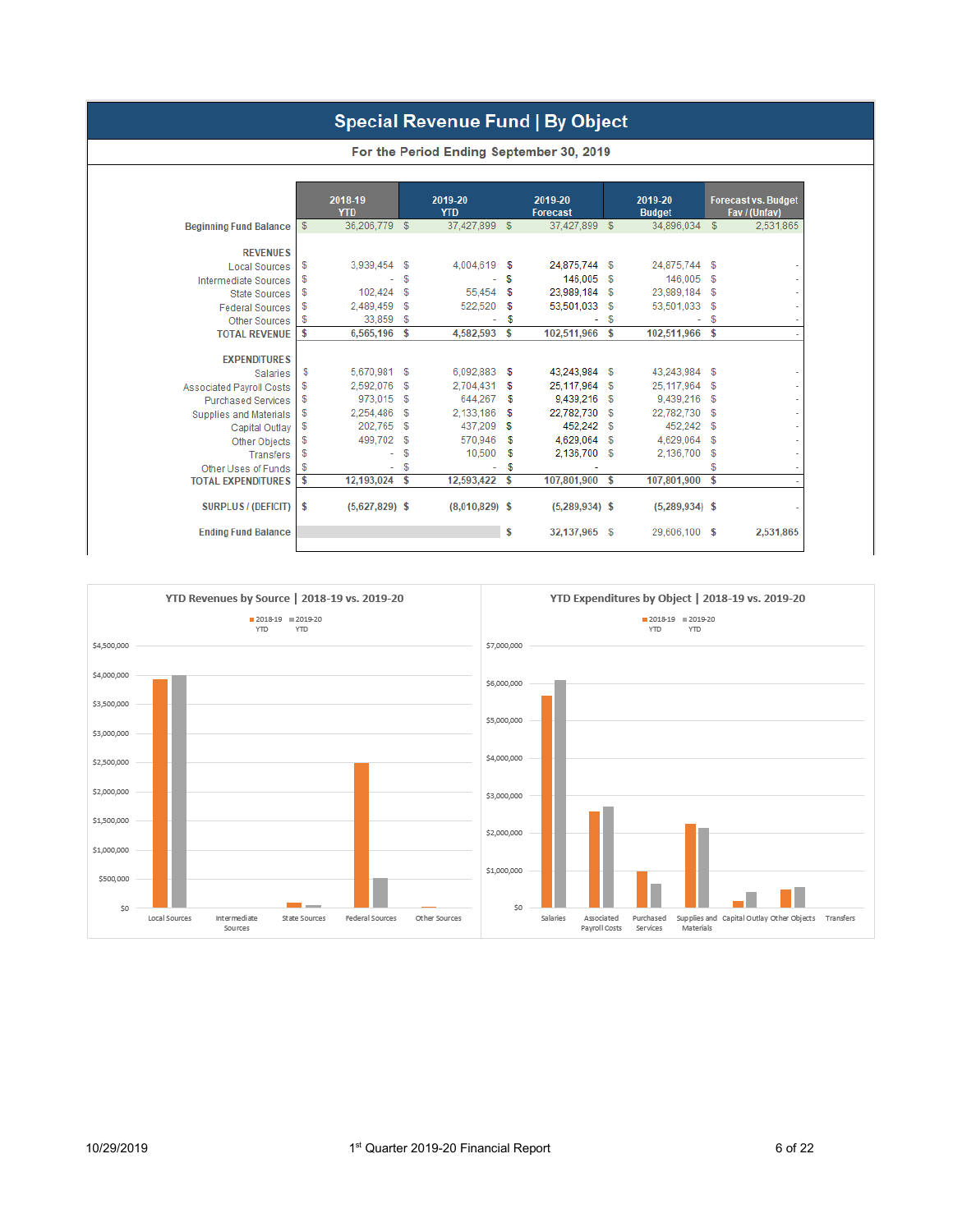#### Special Revenue Fund | By Object

|                                 |               | 2018-19<br><b>YTD</b> |              | 2019-20<br><b>YTD</b> |              | 2019-20<br><b>Forecast</b> |              | 2019-20<br><b>Budget</b> |    | <b>Forecast vs. Budget</b><br>Fav / (Unfav) |
|---------------------------------|---------------|-----------------------|--------------|-----------------------|--------------|----------------------------|--------------|--------------------------|----|---------------------------------------------|
| <b>Beginning Fund Balance</b>   | $\frac{2}{3}$ | 36,206,779            | $\mathbb{S}$ | 37,427,899            | $\mathbb{S}$ | 37,427,899                 | $\mathbb{S}$ | 34,896,034               | \$ | 2,531,865                                   |
| <b>REVENUES</b>                 |               |                       |              |                       |              |                            |              |                          |    |                                             |
| <b>Local Sources</b>            | \$            | 3,939,454 \$          |              | 4,004,619             | \$           | 24,875,744                 | \$           | 24,875,744               | \$ |                                             |
| <b>Intermediate Sources</b>     | \$            |                       | \$           |                       | S            | 146,005                    | \$           | 146,005                  | \$ |                                             |
| <b>State Sources</b>            | \$            | 102,424               | $^{\circ}$   | 55,454                | S            | 23,989,184                 | \$           | 23,989,184               | \$ |                                             |
| <b>Federal Sources</b>          | \$            | 2,489,459             | \$           | 522,520               | S            | 53,501,033                 | \$           | 53,501,033               | \$ |                                             |
| <b>Other Sources</b>            | \$            | 33,859                | \$           | ٠                     | \$           |                            | \$           | ٠                        | \$ |                                             |
| <b>TOTAL REVENUE</b>            | \$            | 6,565,196             | \$           | 4,582,593             | s            | 102,511,966                | \$           | 102,511,966              | \$ |                                             |
|                                 |               |                       |              |                       |              |                            |              |                          |    |                                             |
| <b>EXPENDITURES</b>             |               |                       |              |                       |              |                            |              |                          |    |                                             |
| <b>Salaries</b>                 | \$            | 5,670,981 \$          |              | 6,092,883             | \$           | 43,243,984                 | \$           | 43,243,984               | \$ |                                             |
| <b>Associated Payroll Costs</b> | \$            | 2,592,076             | \$           | 2,704,431             | \$           | 25,117,964                 | \$           | 25,117,964               | \$ |                                             |
| <b>Purchased Services</b>       | \$            | 973,015               | \$           | 644.267               | S            | 9,439,216                  | \$           | 9,439,216                | \$ |                                             |
| <b>Supplies and Materials</b>   | \$            | 2.254.486             | \$           | 2.133.186             | S            | 22.782.730                 | S            | 22,782,730               | \$ |                                             |
| Capital Outlay                  | \$            | 202,765               | \$           | 437,209               | s            | 452.242                    | \$           | 452,242                  | \$ |                                             |
| Other Objects                   | \$            | 499,702               | $\mathbb{S}$ | 570,946               | \$           | 4,629,064                  | \$           | 4,629,064                | \$ |                                             |
| Transfers                       | \$            | ٠                     | \$           | 10,500                | \$           | 2,136,700                  | S            | 2,136,700                | \$ |                                             |
| Other Uses of Funds             | \$            | ٠                     | \$           |                       | \$           |                            |              |                          | S  |                                             |
| <b>TOTAL EXPENDITURES</b>       | \$            | 12,193,024            | \$           | 12,593,422            | \$           | 107,801,900                | \$           | 107,801,900              | \$ |                                             |
| <b>SURPLUS / (DEFICIT)</b>      | \$            | $(5,627,829)$ \$      |              | $(8,010,829)$ \$      |              | $(5,289,934)$ \$           |              | $(5,289,934)$ \$         |    |                                             |
| <b>Ending Fund Balance</b>      |               |                       |              |                       | \$           | 32,137,965                 | \$           | 29,606,100               | \$ | 2,531,865                                   |



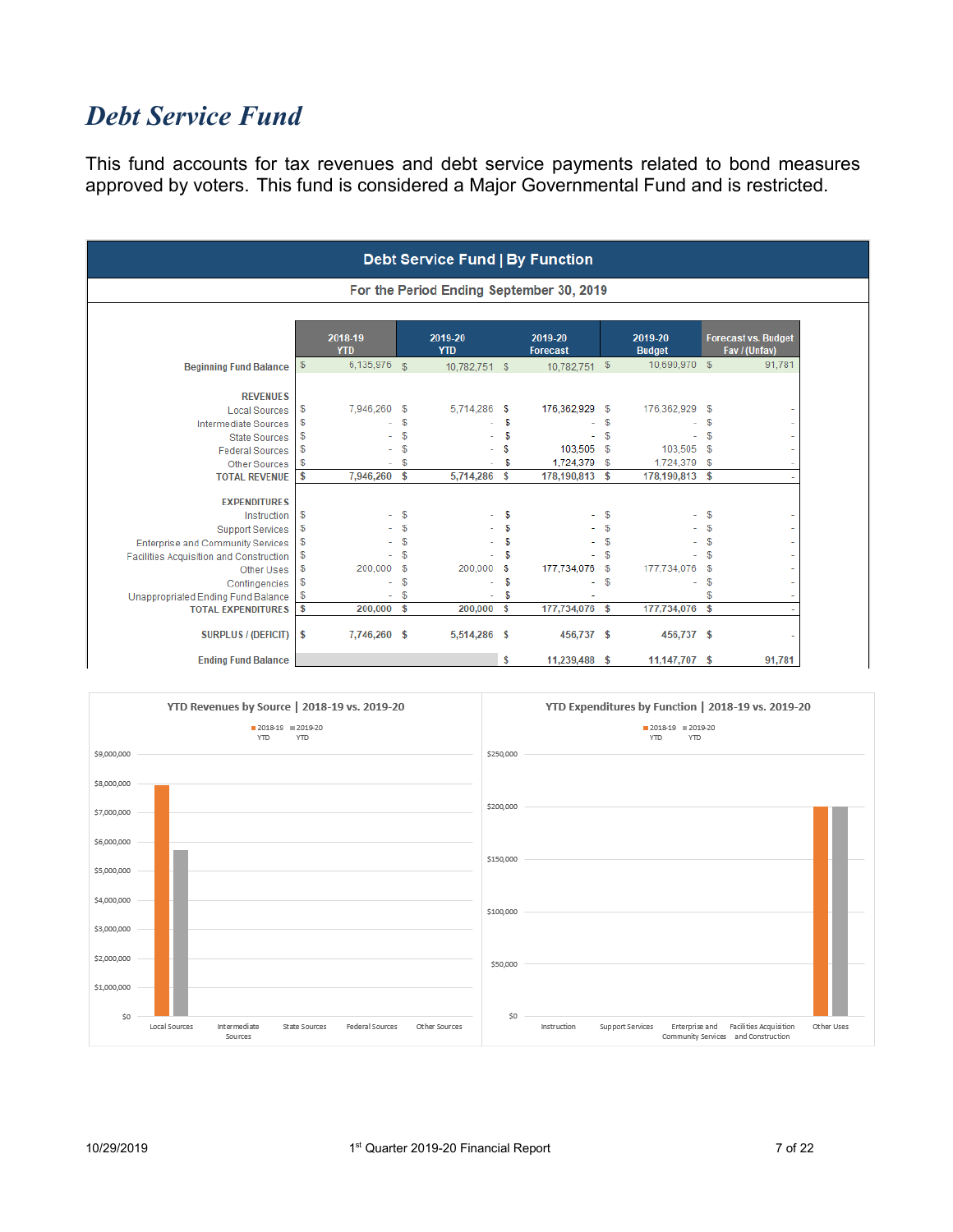### *Debt Service Fund*

This fund accounts for tax revenues and debt service payments related to bond measures approved by voters. This fund is considered a Major Governmental Fund and is restricted.

|                                         |      |                       |               | <b>Debt Service Fund   By Function</b> |    |                                          |    |                          |                    |                                             |
|-----------------------------------------|------|-----------------------|---------------|----------------------------------------|----|------------------------------------------|----|--------------------------|--------------------|---------------------------------------------|
|                                         |      |                       |               |                                        |    | For the Period Ending September 30, 2019 |    |                          |                    |                                             |
|                                         |      | 2018-19<br><b>YTD</b> |               | 2019-20<br><b>YTD</b>                  |    | 2019-20<br><b>Forecast</b>               |    | 2019-20<br><b>Budget</b> |                    | <b>Forecast vs. Budget</b><br>Fav / (Unfav) |
| <b>Beginning Fund Balance</b>           | $\$$ | 6,135,976             | $\mathcal{S}$ | 10,782,751 \$                          |    | $10,782,751$ \$                          |    | 10,690,970 \$            |                    | 91,781                                      |
| <b>REVENUES</b>                         |      |                       |               |                                        |    |                                          |    |                          |                    |                                             |
| <b>Local Sources</b>                    | \$   | 7,946,260 \$          |               | 5,714,286                              | S  | 176,362,929 \$                           |    | 176,362,929              | - \$               |                                             |
| <b>Intermediate Sources</b>             | \$   |                       | \$            |                                        | \$ |                                          | \$ |                          | \$                 |                                             |
| <b>State Sources</b>                    | \$   |                       | \$            |                                        | \$ | ÷                                        | \$ |                          | \$                 |                                             |
| <b>Federal Sources</b>                  | \$   |                       | S             |                                        | S  | 103,505 \$                               |    | 103,505 \$               |                    |                                             |
| <b>Other Sources</b>                    | \$   |                       | S             |                                        | \$ | 1,724,379                                | \$ | 1,724,379                | \$                 |                                             |
| <b>TOTAL REVENUE</b>                    | \$   | 7,946,260 \$          |               | 5,714,286                              | \$ | 178,190,813 \$                           |    | 178,190,813 \$           |                    |                                             |
| <b>EXPENDITURES</b>                     |      |                       |               |                                        |    |                                          |    |                          |                    |                                             |
| Instruction                             | \$   |                       | S             |                                        | \$ |                                          | \$ |                          | \$                 |                                             |
| <b>Support Services</b>                 | \$   |                       | \$            |                                        |    |                                          | \$ |                          | \$                 |                                             |
| Enterprise and Community Services       | \$   |                       | S             |                                        | S  |                                          | S  |                          | \$                 |                                             |
| Facilities Acquisition and Construction | \$   |                       | S             |                                        | \$ |                                          | S  |                          | S                  |                                             |
| Other Uses                              | \$   | 200.000               | \$            | 200,000                                | s  | 177,734,076 \$                           |    | 177,734,076              | - \$               |                                             |
| Contingencies                           | \$   |                       | S             |                                        | \$ | ۰                                        | \$ | ٠                        | \$                 |                                             |
| Unappropriated Ending Fund Balance      | \$   |                       | S             |                                        | S  |                                          |    |                          | \$                 |                                             |
| <b>TOTAL EXPENDITURES</b>               | \$   | 200,000 \$            |               | 200,000                                | \$ | 177,734,076 \$                           |    | 177,734,076              | $\mathbf{\hat{S}}$ |                                             |
| <b>SURPLUS / (DEFICIT)</b>              | \$   | 7,746,260 \$          |               | 5,514,286 \$                           |    | 456,737 \$                               |    | 456,737 \$               |                    |                                             |
| <b>Ending Fund Balance</b>              |      |                       |               |                                        | \$ | 11,239,488 \$                            |    | 11,147,707 \$            |                    | 91,781                                      |

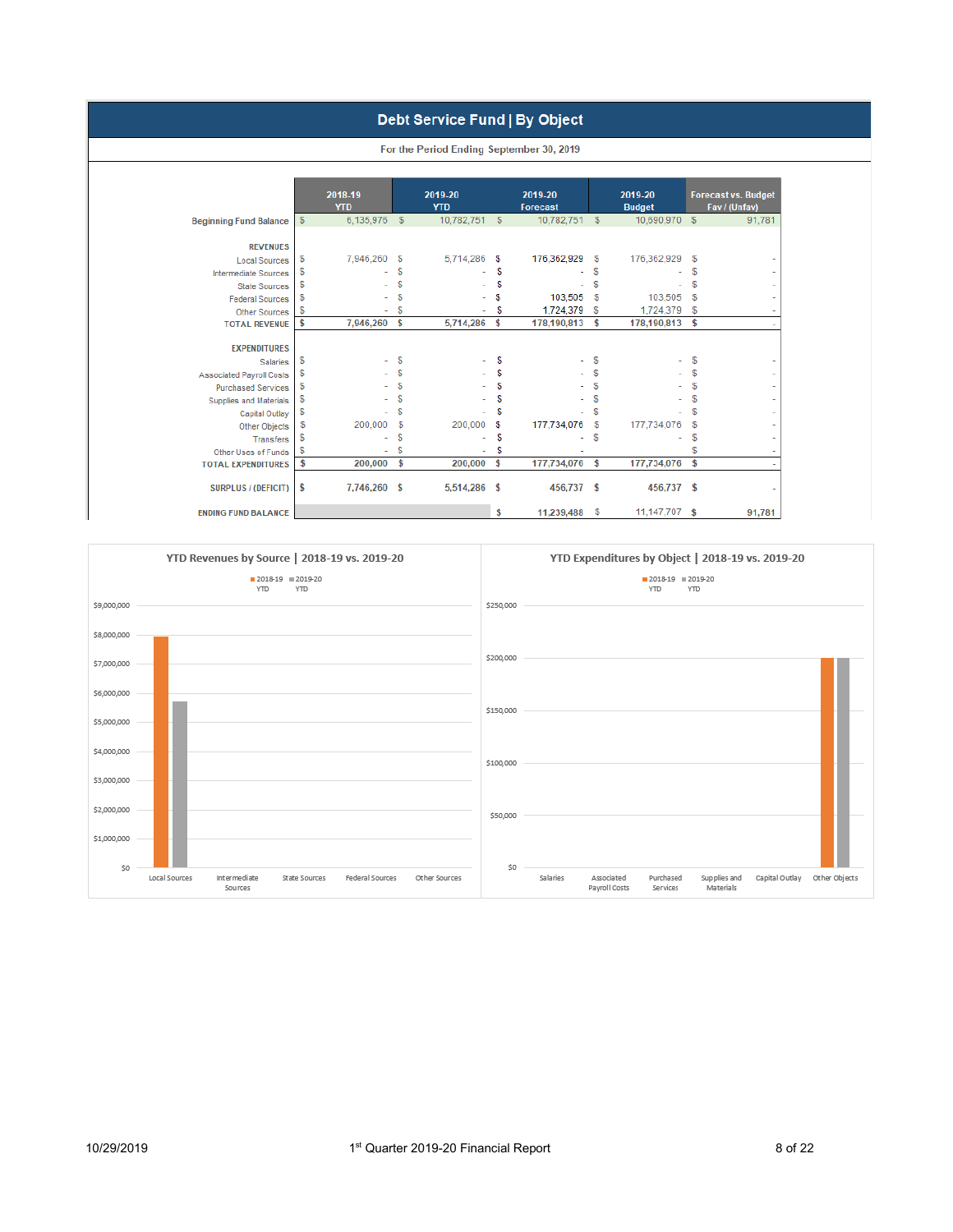#### Debt Service Fund | By Object

| <b>Beginning Fund Balance</b><br><b>REVENUES</b><br><b>Local Sources</b> | \$<br>6,135,976    |               |              |            | <b>Forecast</b> |            | <b>Budget</b>  |              | Fav / (Unfav) |
|--------------------------------------------------------------------------|--------------------|---------------|--------------|------------|-----------------|------------|----------------|--------------|---------------|
|                                                                          |                    | $\sqrt[6]{3}$ | 10,782,751   | $\sqrt{3}$ | 10,782,751      | \$         | 10,690,970 \$  |              | 91,781        |
|                                                                          |                    |               |              |            |                 |            |                |              |               |
|                                                                          | \$<br>7,946,260 \$ |               | 5,714,286 \$ |            | 176,362,929 \$  |            | 176,362,929 \$ |              |               |
|                                                                          | \$                 | \$            |              | S          |                 | S          |                | \$           |               |
| <b>Intermediate Sources</b><br><b>State Sources</b>                      | \$                 | \$            |              | S          |                 | \$         |                | \$           |               |
| <b>Federal Sources</b>                                                   | \$                 | \$            |              | S          | 103,505         | S          | 103,505        | $\mathbb{S}$ |               |
| Other Sources                                                            | \$                 | \$            |              | S          | 1,724,379       | \$         | 1,724,379      | \$           |               |
| <b>TOTAL REVENUE</b>                                                     | \$<br>7,946,260    | \$            | 5,714,286    | \$         | 178,190,813     | \$         | 178,190,813    | \$           |               |
|                                                                          |                    |               |              |            |                 |            |                |              |               |
| <b>EXPENDITURES</b>                                                      |                    |               |              |            |                 |            |                |              |               |
| <b>Salaries</b>                                                          | \$<br>$\sim$       | \$            |              | S          |                 | $^{\circ}$ | ٠              | \$           |               |
| <b>Associated Payroll Costs</b>                                          | \$                 | \$            |              | S          |                 | S          |                | \$           |               |
| <b>Purchased Services</b>                                                | \$                 | \$            |              | S          |                 | S          |                | \$           |               |
| Supplies and Materials                                                   | \$                 | \$            |              | S          |                 | S          |                | \$           |               |
| Capital Outlay                                                           | \$                 | \$            |              | S          |                 | S          |                | \$           |               |
| Other Objects                                                            | \$<br>200,000      | \$            | 200,000      | s          | 177,734,076     | \$         | 177,734,076    | $\mathbb{S}$ |               |
| <b>Transfers</b>                                                         | \$                 | \$            |              | S          |                 | \$         |                | \$           |               |
| Other Uses of Funds                                                      | \$                 | \$            |              | S          |                 |            |                | \$           |               |
| <b>TOTAL EXPENDITURES</b>                                                | \$<br>200,000      | \$            | 200,000      | \$         | 177,734,076     | \$         | 177,734,076    | \$           |               |
| <b>SURPLUS / (DEFICIT)</b>                                               | \$<br>7,746,260 \$ |               | 5,514,286 \$ |            | 456,737 \$      |            | 456,737 \$     |              |               |

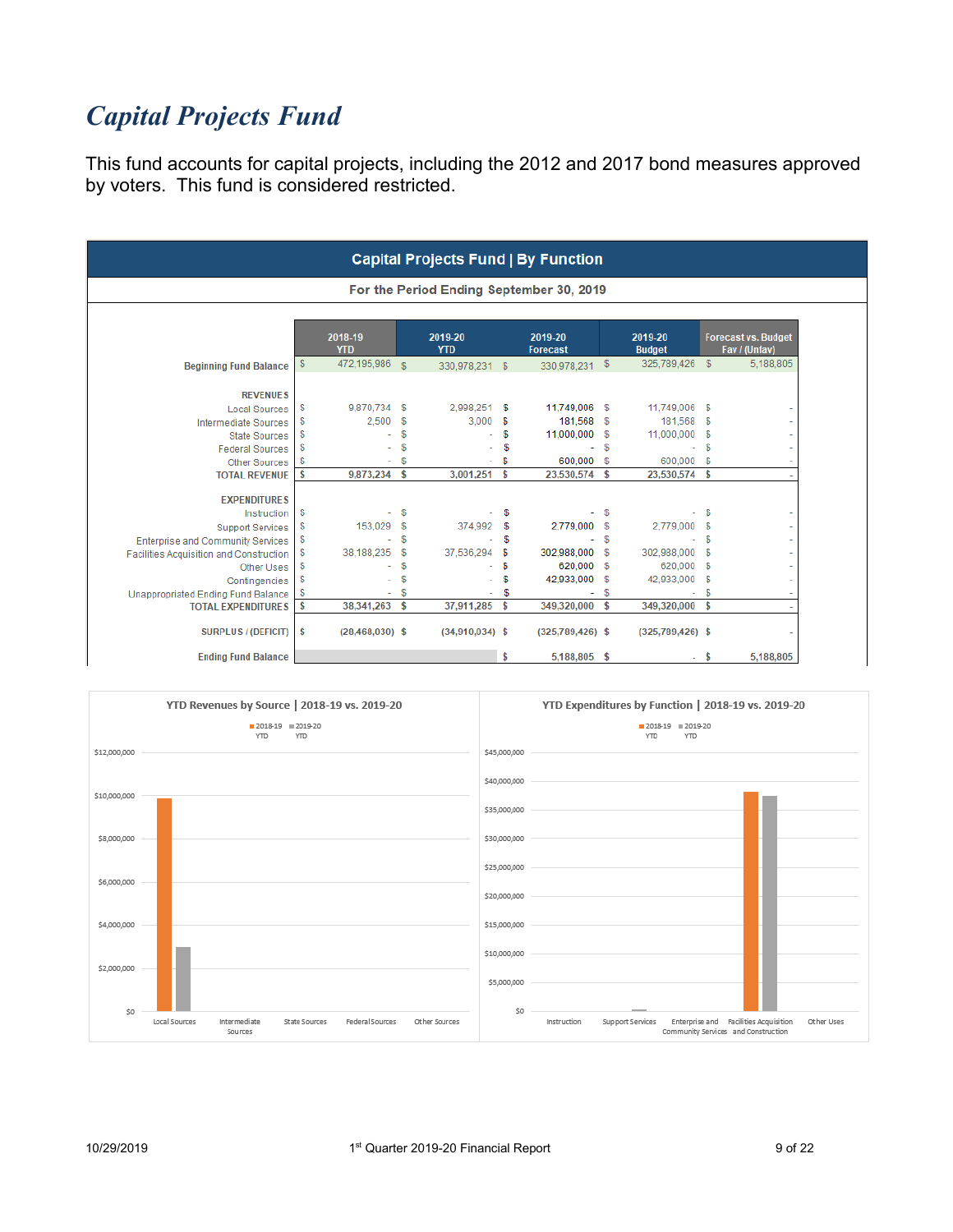# *Capital Projects Fund*

This fund accounts for capital projects, including the 2012 and 2017 bond measures approved by voters. This fund is considered restricted.

|                                           |                         |                |                       |    | <b>Capital Projects Fund   By Function</b> |            |                          |                |                                             |
|-------------------------------------------|-------------------------|----------------|-----------------------|----|--------------------------------------------|------------|--------------------------|----------------|---------------------------------------------|
|                                           |                         |                |                       |    | For the Period Ending September 30, 2019   |            |                          |                |                                             |
|                                           | 2018-19<br><b>YTD</b>   |                | 2019-20<br><b>YTD</b> |    | 2019-20<br><b>Forecast</b>                 |            | 2019-20<br><b>Budget</b> |                | <b>Forecast vs. Budget</b><br>Fav / (Unfav) |
| <b>Beginning Fund Balance</b>             | \$<br>472,195,986       | $\mathfrak{S}$ | 330,978,231 \$        |    | 330,978,231 \$                             |            | 325,789,426              | $\mathbb{S}$   | 5,188,805                                   |
| <b>REVENUES</b>                           |                         |                |                       |    |                                            |            |                          |                |                                             |
| <b>Local Sources</b>                      | \$<br>9,870,734 \$      |                | 2,998,251             | \$ | 11,749,006 \$                              |            | 11,749,006 \$            |                |                                             |
| <b>Intermediate Sources</b>               | \$<br>2,500             | \$             | 3,000                 | \$ | 181,568 \$                                 |            | 181,568                  | - \$           |                                             |
| <b>State Sources</b>                      | \$                      | S              |                       | \$ | 11,000,000 \$                              |            | 11,000,000               | \$             |                                             |
| <b>Federal Sources</b>                    | \$                      | \$             |                       | \$ | $-5$                                       |            | $\sim$                   | $\mathfrak{F}$ |                                             |
| <b>Other Sources</b>                      | \$                      | \$             |                       | \$ | 600.000                                    | \$         | 600,000 \$               |                |                                             |
| <b>TOTAL REVENUE</b>                      | \$<br>9,873,234 \$      |                | 3,001,251             | \$ | 23,530,574 \$                              |            | 23,530,574 \$            |                |                                             |
| <b>EXPENDITURES</b>                       |                         |                |                       |    |                                            |            |                          |                |                                             |
| Instruction                               | \$                      | \$             |                       | \$ |                                            | $-5$       |                          | \$             |                                             |
| <b>Support Services</b>                   | \$<br>153,029 \$        |                | 374,992               | \$ | 2,779,000 \$                               |            | 2,779,000 \$             |                |                                             |
| <b>Enterprise and Community Services</b>  | \$                      | \$             |                       | S  | $-5$                                       |            | ÷.                       | $\mathbb{S}$   |                                             |
| Facilities Acquisition and Construction   | \$<br>38,188,235        | \$             | 37,536,294            | \$ | 302,988,000 \$                             |            | 302,988,000              | \$             |                                             |
| Other Uses                                | \$                      | \$             |                       | \$ | 620,000 \$                                 |            | 620,000                  | \$             |                                             |
| Contingencies                             | \$                      | \$             |                       | \$ | 42,933,000 \$                              |            | 42,933,000               | \$             |                                             |
| <b>Unappropriated Ending Fund Balance</b> | \$                      | \$             |                       | \$ | ÷                                          | $\sqrt{5}$ | ÷.                       | $\mathbb{S}$   |                                             |
| <b>TOTAL EXPENDITURES</b>                 | \$<br>38,341,263 \$     |                | 37,911,285            | \$ | 349,320,000 \$                             |            | 349,320,000 \$           |                |                                             |
| <b>SURPLUS / (DEFICIT)</b>                | \$<br>$(28,468,030)$ \$ |                | $(34,910,034)$ \$     |    | $(325,789,426)$ \$                         |            | $(325,789,426)$ \$       |                |                                             |
| <b>Ending Fund Balance</b>                |                         |                |                       | \$ | 5,188,805 \$                               |            |                          | \$             | 5,188,805                                   |

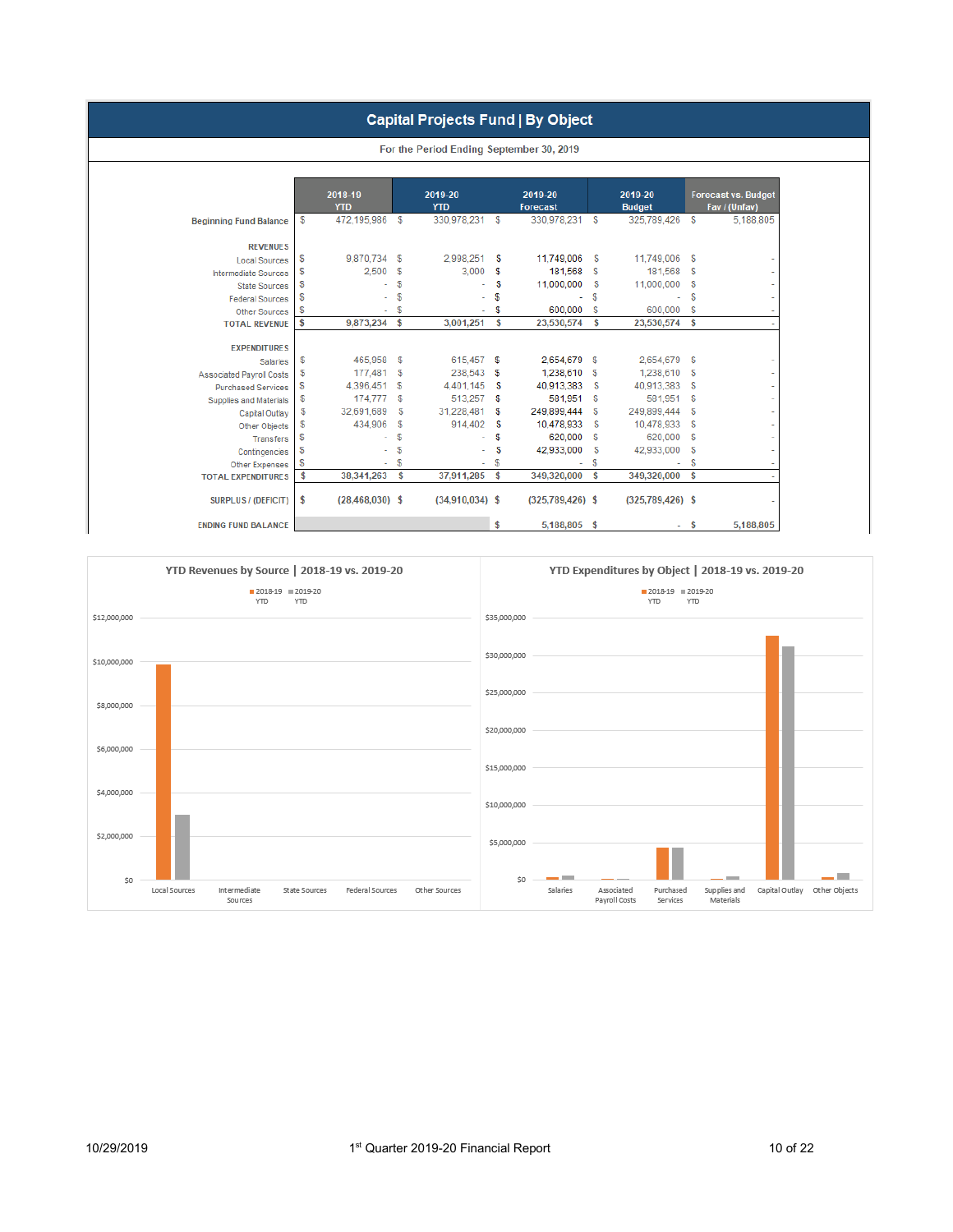#### **Capital Projects Fund | By Object**

|                                 | 2018-19<br><b>YTD</b> |          | 2019-20<br><b>YTD</b> |    | 2019-20<br><b>Forecast</b> |      | 2019-20<br><b>Budget</b> |              | <b>Forecast vs. Budget</b><br>Fav / (Unfav) |
|---------------------------------|-----------------------|----------|-----------------------|----|----------------------------|------|--------------------------|--------------|---------------------------------------------|
| <b>Beginning Fund Balance</b>   | \$<br>472,195,986     | \$       | 330,978,231           | \$ | 330,978,231                | \$   | 325,789,426              | \$           | 5,188,805                                   |
| <b>REVENUES</b>                 |                       |          |                       |    |                            |      |                          |              |                                             |
| <b>Local Sources</b>            | \$<br>9,870,734 \$    |          | 2,998,251             | \$ | 11,749,006                 | \$   | 11,749,006               | \$           |                                             |
| <b>Intermediate Sources</b>     | \$<br>2,500           | \$       | 3,000                 | \$ | 181,568                    | \$   | 181,568                  | \$           |                                             |
| <b>State Sources</b>            | \$                    | \$       |                       | \$ | 11,000,000                 | \$   | 11,000,000               | \$           |                                             |
| <b>Federal Sources</b>          | \$                    | \$       |                       | S  |                            | \$   |                          | S            |                                             |
| <b>Other Sources</b>            | \$                    | \$       |                       | S  | 600.000                    | S    | 600,000                  | $\mathbb{S}$ |                                             |
| <b>TOTAL REVENUE</b>            | \$<br>9,873,234 \$    |          | 3,001,251             | \$ | 23,530,574                 | \$   | 23,530,574               | \$           |                                             |
|                                 |                       |          |                       |    |                            |      |                          |              |                                             |
| <b>EXPENDITURES</b>             |                       |          |                       |    |                            |      |                          |              |                                             |
| <b>Salaries</b>                 | \$<br>465,958         | s        | 615,457 \$            |    | 2,654,679                  | \$   | 2,654,679                | \$           |                                             |
| <b>Associated Payroll Costs</b> | \$<br>177,481         | \$       | 238,543               | \$ | 1,238,610                  | \$   | 1,238,610                | \$           |                                             |
| <b>Purchased Services</b>       | \$<br>4,396,451       | <b>S</b> | 4,401,145             | S  | 40,913,383                 | \$   | 40,913,383               | \$           |                                             |
| Supplies and Materials          | \$<br>174,777         | \$       | 513,257 \$            |    | 581,951                    | - \$ | 581,951 \$               |              |                                             |
| Capital Outlay                  | \$<br>32,691,689      | \$       | 31,228,481            | S  | 249,899,444                | \$   | 249,899,444              | \$           |                                             |
| Other Objects                   | \$<br>434,906         | S        | 914,402               | \$ | 10,478,933                 | \$   | 10,478,933               | \$           |                                             |
| <b>Transfers</b>                | \$                    | S        |                       | \$ | 620,000                    | S    | 620,000                  | \$           |                                             |
| Contingencies                   | \$                    | \$       |                       | \$ | 42,933,000                 | \$   | 42,933,000               | \$           |                                             |
| <b>Other Expenses</b>           | \$                    | S        |                       | S  |                            | S    |                          | S            |                                             |
| <b>TOTAL EXPENDITURES</b>       | \$<br>38,341,263      | \$       | 37,911,285            | \$ | 349,320,000                | \$   | 349,320,000              | \$           |                                             |
|                                 |                       |          |                       |    |                            |      |                          |              |                                             |

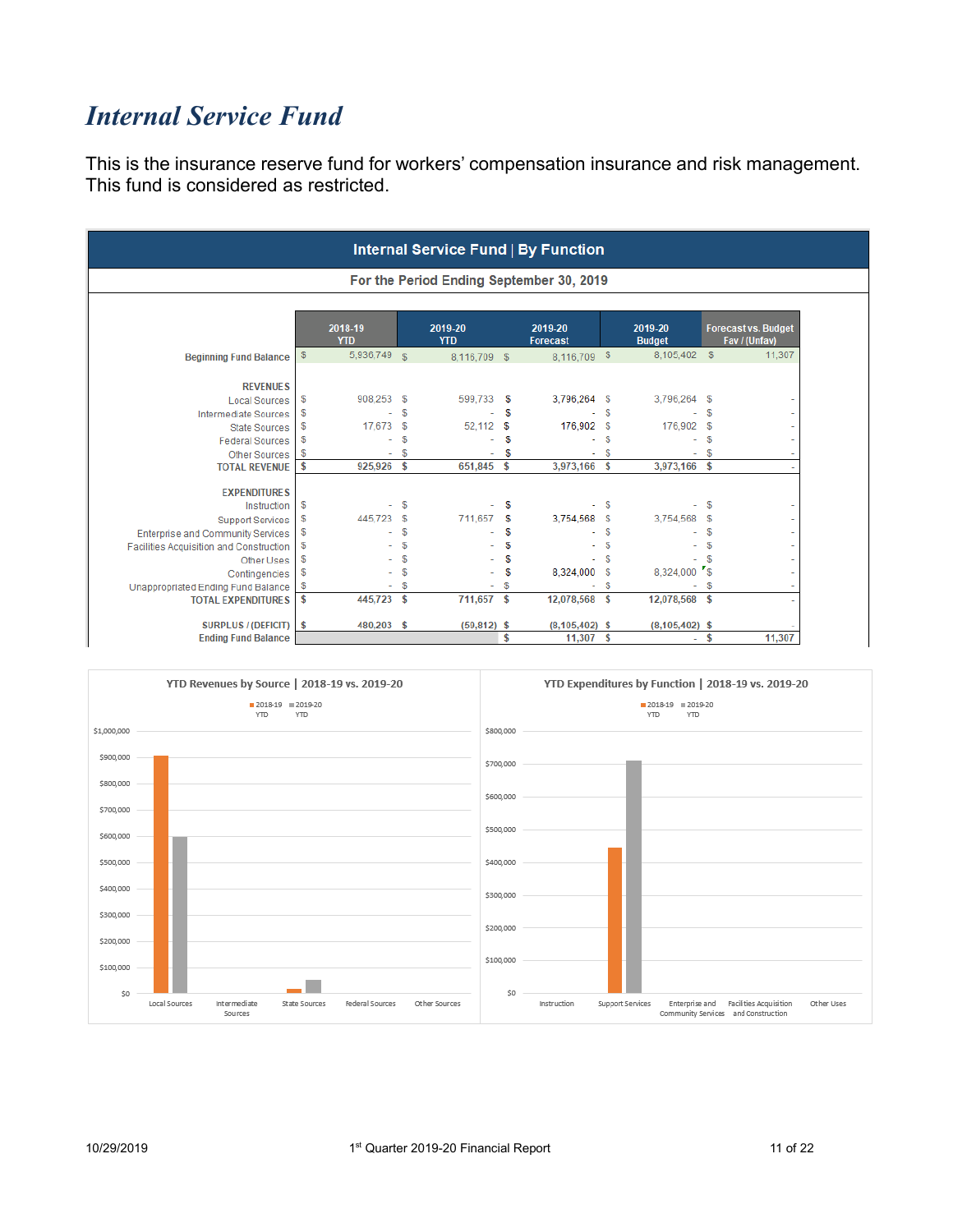### *Internal Service Fund*

This is the insurance reserve fund for workers' compensation insurance and risk management. This fund is considered as restricted.

|                                                                 |               |                          |          |                       |          | <b>Internal Service Fund   By Function</b> |          |                          |              |                                             |
|-----------------------------------------------------------------|---------------|--------------------------|----------|-----------------------|----------|--------------------------------------------|----------|--------------------------|--------------|---------------------------------------------|
|                                                                 |               |                          |          |                       |          | For the Period Ending September 30, 2019   |          |                          |              |                                             |
|                                                                 |               | 2018-19<br><b>YTD</b>    |          | 2019-20<br><b>YTD</b> |          | 2019-20<br>Forecast                        |          | 2019-20<br><b>Budget</b> |              | <b>Forecast vs. Budget</b><br>Fav / (Unfav) |
| <b>Beginning Fund Balance</b>                                   | $\sqrt[6]{3}$ | 5,936,749 \$             |          | 8,116,709 \$          |          | 8,116,709 \$                               |          | 8,105,402 \$             |              | 11,307                                      |
| <b>REVENUES</b>                                                 |               |                          |          |                       |          |                                            |          |                          |              |                                             |
| <b>Local Sources</b>                                            | \$            | 908,253 \$               |          | 599,733               | S        | 3,796,264 \$                               |          | 3,796,264 \$             |              |                                             |
| <b>Intermediate Sources</b>                                     | \$            |                          | S        |                       | S        |                                            | S        |                          | S            |                                             |
| <b>State Sources</b>                                            | \$            | 17,673                   | \$       | 52,112                | S        | 176,902 \$                                 |          | 176,902 \$               |              |                                             |
| <b>Federal Sources</b>                                          | \$            | ä,                       | \$       |                       | \$       | ä,                                         | S        | ÷.                       | \$           |                                             |
| <b>Other Sources</b>                                            | \$            | ٠                        | \$       |                       | S        | ۰                                          | <b>S</b> | ٠                        | <b>S</b>     |                                             |
| <b>TOTAL REVENUE</b>                                            | \$            | 925,926                  | <b>S</b> | 651,845               | \$       | 3,973,166                                  | \$       | 3,973,166                | $\mathbf{s}$ |                                             |
|                                                                 |               |                          |          |                       |          |                                            |          |                          |              |                                             |
| <b>EXPENDITURES</b>                                             |               |                          |          |                       |          |                                            |          |                          |              |                                             |
| Instruction                                                     | \$            | $\overline{\phantom{0}}$ | S        |                       | \$       |                                            | - \$     |                          | $-$ \$       |                                             |
| <b>Support Services</b>                                         | \$            | 445,723                  | \$       | 711,657               | \$       | 3,754,568 \$                               | \$       | 3,754,568 \$             |              |                                             |
| <b>Enterprise and Community Services</b>                        | $\mathbb{S}$  |                          | \$<br>\$ |                       | \$<br>S  |                                            | \$       |                          | S<br>S       |                                             |
| Facilities Acquisition and Construction                         | \$            |                          | S        |                       |          |                                            | S        |                          | \$           |                                             |
| Other Uses                                                      | \$<br>\$      |                          | \$       |                       | \$<br>\$ | 8,324,000 \$                               |          | 8,324,000 \$             |              |                                             |
| Contingencies                                                   | \$            |                          | S        |                       | S        | ٠                                          | S        | $\sim$                   | \$           |                                             |
| Unappropriated Ending Fund Balance<br><b>TOTAL EXPENDITURES</b> | \$            | 445,723 \$               |          | 711,657 \$            |          | 12,078,568 \$                              |          | 12,078,568 \$            |              |                                             |
|                                                                 |               |                          |          |                       |          |                                            |          |                          |              |                                             |
| <b>SURPLUS / (DEFICIT)</b>                                      | \$            | 480,203 \$               |          | (59, 812)             | \$       | $(8, 105, 402)$ \$                         |          | $(8, 105, 402)$ \$       |              |                                             |
| <b>Ending Fund Balance</b>                                      |               |                          |          |                       | \$       | 11,307                                     | s.       | ÷,                       | \$           | 11,307                                      |

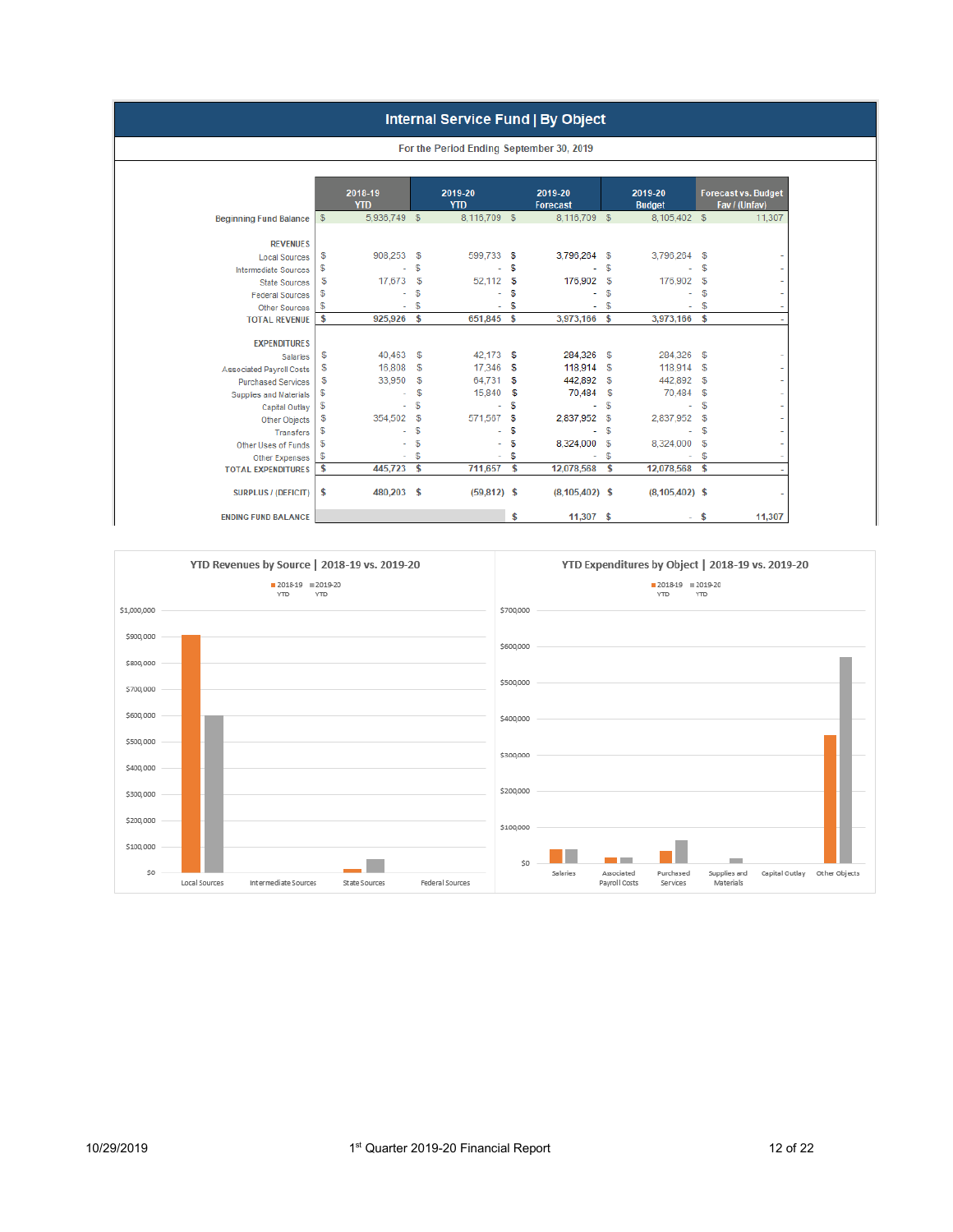#### Internal Service Fund | By Object

|                                 |            |                       |            | For the Period Ending September 30, 2019 |    |                            |          |                          |              |                                             |
|---------------------------------|------------|-----------------------|------------|------------------------------------------|----|----------------------------|----------|--------------------------|--------------|---------------------------------------------|
|                                 |            |                       |            |                                          |    |                            |          |                          |              |                                             |
|                                 |            | 2018-19<br><b>YTD</b> |            | 2019-20<br><b>YTD</b>                    |    | 2019-20<br><b>Forecast</b> |          | 2019-20<br><b>Budget</b> |              | <b>Forecast vs. Budget</b><br>Fav / (Unfav) |
| <b>Beginning Fund Balance</b>   | $\sqrt{3}$ | 5,936,749 \$          |            | 8.116.709 \$                             |    | 8,116,709                  | - \$     | 8.105.402 \$             |              | 11,307                                      |
|                                 |            |                       |            |                                          |    |                            |          |                          |              |                                             |
| <b>REVENUES</b>                 |            |                       |            |                                          |    |                            |          |                          |              |                                             |
| <b>Local Sources</b>            | \$         | 908,253               | \$         | 599,733                                  | \$ | 3,796,264                  | \$       | 3,796,264 \$             |              |                                             |
| <b>Intermediate Sources</b>     | \$         |                       | S          |                                          | \$ |                            | \$       |                          | S            |                                             |
| <b>State Sources</b>            | \$         | 17,673                | \$         | 52,112                                   | \$ | 176,902                    | \$       | 176,902                  | $\mathbb{S}$ |                                             |
| <b>Federal Sources</b>          | \$         |                       | S          |                                          | \$ |                            | \$       |                          | \$           |                                             |
| <b>Other Sources</b>            | \$         | ٠                     | S          | ٠                                        | \$ |                            | \$       | ٠                        | \$           |                                             |
| <b>TOTAL REVENUE</b>            | \$         | 925,926 \$            |            | 651,845                                  | \$ | 3,973,166 \$               |          | 3,973,166 \$             |              |                                             |
|                                 |            |                       |            |                                          |    |                            |          |                          |              |                                             |
| <b>EXPENDITURES</b>             | \$         | 40,463                | $\sqrt{3}$ | 42,173                                   | S  | 284,326                    | - 5      | 284,326 \$               |              |                                             |
| <b>Salaries</b>                 | \$         | 16,808                | \$         | 17,346                                   | S  | 118,914                    | <b>S</b> | 118,914                  | -S           |                                             |
| <b>Associated Payroll Costs</b> | \$         | 33,950                | \$         | 64.731                                   | S  | 442,892                    | S        | 442,892                  | S.           |                                             |
| <b>Purchased Services</b>       |            | ٠                     | \$         | 15,840                                   | \$ | 70,484                     | \$       | 70,484                   | $\mathbb{S}$ |                                             |
| Supplies and Materials          | \$         |                       | s          | ٠                                        | \$ | ÷.                         | \$       |                          | S            |                                             |
| Capital Outlay                  | \$         | ۰                     | \$         | 571,567                                  |    |                            |          |                          | S            |                                             |
| Other Objects                   | \$         | 354,502               | S          |                                          | \$ | 2,837,952                  | \$       | 2,837,952                |              |                                             |
| <b>Transfers</b>                | \$         |                       |            |                                          | \$ |                            | \$       |                          | S            |                                             |
| Other Uses of Funds             | \$         |                       | \$         |                                          | \$ | 8,324,000                  | \$       | 8,324,000                | -S           |                                             |
| Other Expenses                  | \$         |                       | S          | ٠                                        | \$ |                            | \$       |                          | S            |                                             |
| <b>TOTAL EXPENDITURES</b>       | \$         | 445,723               | \$         | 711,657                                  | \$ | 12,078,568                 | \$       | 12,078,568               | \$           |                                             |
| <b>SURPLUS / (DEFICIT)</b>      | \$         | 480,203 \$            |            | $(59,812)$ \$                            |    | $(8, 105, 402)$ \$         |          | $(8, 105, 402)$ \$       |              |                                             |
| <b>ENDING FUND BALANCE</b>      |            |                       |            |                                          | \$ | 11.307                     | s        | ۰.                       | <b>S</b>     | 11,307                                      |

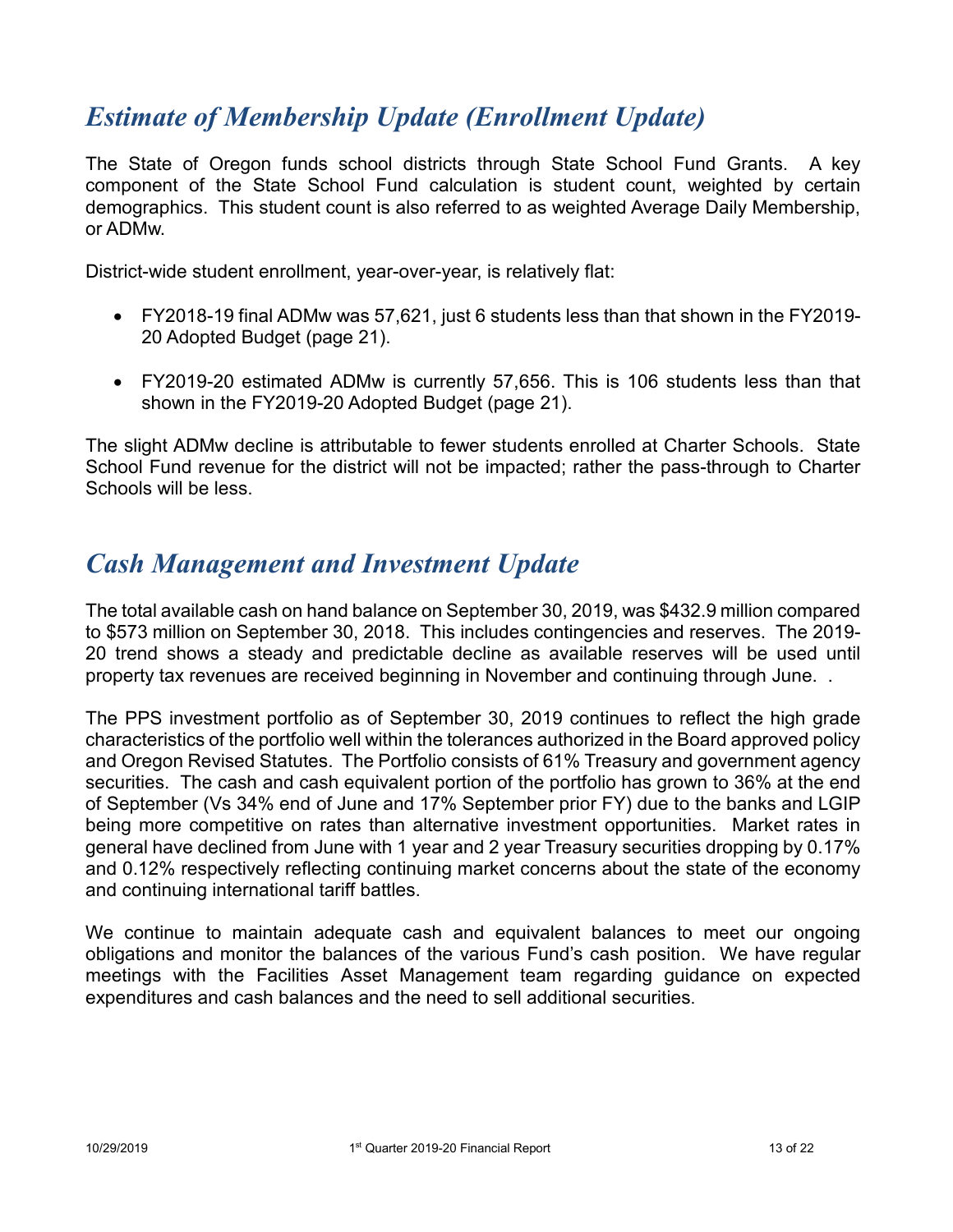## *Estimate of Membership Update (Enrollment Update)*

The State of Oregon funds school districts through State School Fund Grants. A key component of the State School Fund calculation is student count, weighted by certain demographics. This student count is also referred to as weighted Average Daily Membership, or ADMw.

District-wide student enrollment, year-over-year, is relatively flat:

- FY2018-19 final ADMw was 57,621, just 6 students less than that shown in the FY2019- 20 Adopted Budget (page 21).
- FY2019-20 estimated ADMw is currently 57,656. This is 106 students less than that shown in the FY2019-20 Adopted Budget (page 21).

The slight ADMw decline is attributable to fewer students enrolled at Charter Schools. State School Fund revenue for the district will not be impacted; rather the pass-through to Charter Schools will be less.

#### *Cash Management and Investment Update*

The total available cash on hand balance on September 30, 2019, was \$432.9 million compared to \$573 million on September 30, 2018. This includes contingencies and reserves. The 2019- 20 trend shows a steady and predictable decline as available reserves will be used until property tax revenues are received beginning in November and continuing through June. .

The PPS investment portfolio as of September 30, 2019 continues to reflect the high grade characteristics of the portfolio well within the tolerances authorized in the Board approved policy and Oregon Revised Statutes. The Portfolio consists of 61% Treasury and government agency securities. The cash and cash equivalent portion of the portfolio has grown to 36% at the end of September (Vs 34% end of June and 17% September prior FY) due to the banks and LGIP being more competitive on rates than alternative investment opportunities. Market rates in general have declined from June with 1 year and 2 year Treasury securities dropping by 0.17% and 0.12% respectively reflecting continuing market concerns about the state of the economy and continuing international tariff battles.

We continue to maintain adequate cash and equivalent balances to meet our ongoing obligations and monitor the balances of the various Fund's cash position. We have regular meetings with the Facilities Asset Management team regarding guidance on expected expenditures and cash balances and the need to sell additional securities.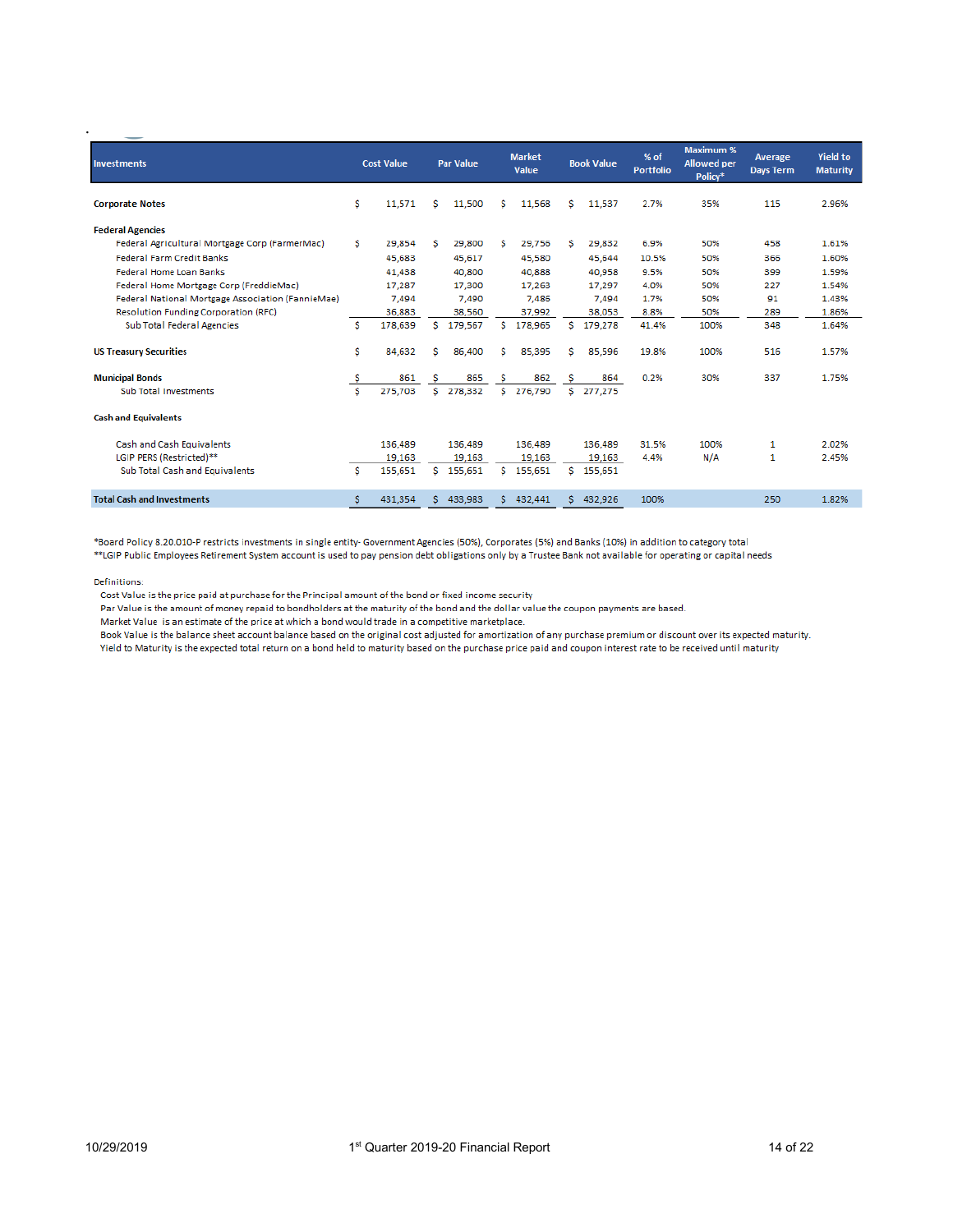| <b>Investments</b>                                |     | <b>Cost Value</b> |    | <b>Par Value</b> |    | <b>Market</b><br>Value |   | <b>Book Value</b> | % of<br><b>Portfolio</b> | <b>Maximum %</b><br><b>Allowed</b> per<br>Policy* | Average<br><b>Days Term</b> | <b>Yield to</b><br><b>Maturity</b> |
|---------------------------------------------------|-----|-------------------|----|------------------|----|------------------------|---|-------------------|--------------------------|---------------------------------------------------|-----------------------------|------------------------------------|
| <b>Corporate Notes</b>                            | \$  | 11.571            | s  | 11,500           | s  | 11,568                 | s | 11,537            | 2.7%                     | 35%                                               | 115                         | 2.96%                              |
| <b>Federal Agencies</b>                           |     |                   |    |                  |    |                        |   |                   |                          |                                                   |                             |                                    |
| Federal Agricultural Mortgage Corp (FarmerMac)    | s   | 29,854            | s  | 29,800           | s  | 29,756                 | s | 29,832            | 6.9%                     | 50%                                               | 458                         | 1.61%                              |
| <b>Federal Farm Credit Banks</b>                  |     | 45.683            |    | 45.617           |    | 45.580                 |   | 45,644            | 10.5%                    | 50%                                               | 366                         | 1.60%                              |
| Federal Home Loan Banks                           |     | 41,438            |    | 40,800           |    | 40,888                 |   | 40,958            | 9.5%                     | 50%                                               | 399                         | 1.59%                              |
| Federal Home Mortgage Corp (FreddieMac)           |     | 17,287            |    | 17,300           |    | 17,263                 |   | 17,297            | 4.0%                     | 50%                                               | 227                         | 1.54%                              |
| Federal National Mortgage Association (FannieMae) |     | 7,494             |    | 7,490            |    | 7.486                  |   | 7,494             | 1.7%                     | 50%                                               | 91                          | 1.43%                              |
| <b>Resolution Funding Corporation (RFC)</b>       |     | 36,883            |    | 38,560           |    | 37,992                 |   | 38,053            | 8.8%                     | 50%                                               | 289                         | 1.86%                              |
| Sub Total Federal Agencies                        | s   | 178,639           | Ŝ. | 179,567          | Ŝ. | 178,965                |   | \$179,278         | 41.4%                    | 100%                                              | 348                         | 1.64%                              |
| <b>US Treasury Securities</b>                     | \$  | 84,632            | s  | 86,400           | s  | 85,395                 | s | 85,596            | 19.8%                    | 100%                                              | 516                         | 1.57%                              |
| <b>Municipal Bonds</b>                            | \$. | 861               | s  | 865              | -S | 862                    | s | 864               | 0.2%                     | 30%                                               | 337                         | 1.75%                              |
| Sub Total Investments                             | s   | 275,703           |    | \$278,332        | S. | 276,790                |   | \$277,275         |                          |                                                   |                             |                                    |
| <b>Cash and Equivalents</b>                       |     |                   |    |                  |    |                        |   |                   |                          |                                                   |                             |                                    |
| Cash and Cash Equivalents                         |     | 136,489           |    | 136,489          |    | 136.489                |   | 136,489           | 31.5%                    | 100%                                              | 1                           | 2.02%                              |
| LGIP PERS (Restricted)**                          |     | 19.163            |    | 19.163           |    | 19.163                 |   | 19.163            | 4.4%                     | N/A                                               | 1                           | 2.45%                              |
| Sub Total Cash and Equivalents                    | s   | 155,651           | S. | 155,651          | S. | 155,651                |   | $S$ 155,651       |                          |                                                   |                             |                                    |
| <b>Total Cash and Investments</b>                 | \$  | 431.354           | s. | 433,983          | s. | 432,441                |   | \$432,926         | 100%                     |                                                   | 250                         | 1.82%                              |

\*Board Policy 8.20.010-P restricts investments in single entity- Government Agencies (50%), Corporates (5%) and Banks (10%) in addition to category total

\*\*LGIP Public Employees Retirement System account is used to pay pension debt obligations only by a Trustee Bank not available for operating or capital needs

Definitions:

.

Cost Value is the price paid at purchase for the Principal amount of the bond or fixed income security

Par Value is the amount of money repaid to bondholders at the maturity of the bond and the dollar value the coupon payments are based.

Market Value is an estimate of the price at which a bond would trade in a competitive marketplace.

Book Value is the balance sheet account balance based on the original cost adjusted for amortization of any purchase premium or discount over its expected maturity. Yield to Maturity is the expected total return on a bond held to maturity based on the purchase price paid and coupon interest rate to be received until maturity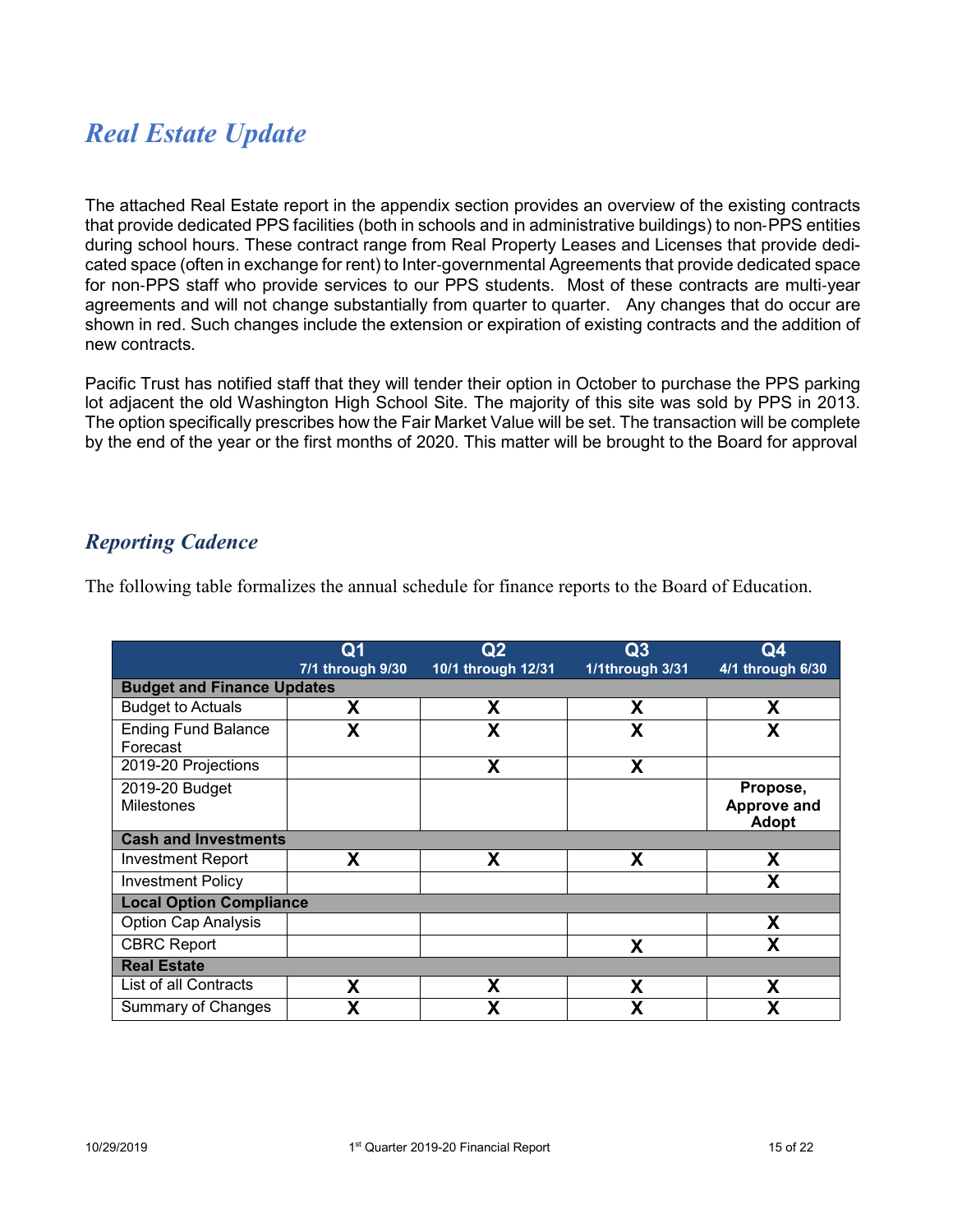## *Real Estate Update*

The attached Real Estate report in the appendix section provides an overview of the existing contracts that provide dedicated PPS facilities (both in schools and in administrative buildings) to non‐PPS entities during school hours. These contract range from Real Property Leases and Licenses that provide dedicated space (often in exchange for rent) to Inter‐governmental Agreements that provide dedicated space for non‐PPS staff who provide services to our PPS students. Most of these contracts are multi‐year agreements and will not change substantially from quarter to quarter. Any changes that do occur are shown in red. Such changes include the extension or expiration of existing contracts and the addition of new contracts.

Pacific Trust has notified staff that they will tender their option in October to purchase the PPS parking lot adjacent the old Washington High School Site. The majority of this site was sold by PPS in 2013. The option specifically prescribes how the Fair Market Value will be set. The transaction will be complete by the end of the year or the first months of 2020. This matter will be brought to the Board for approval

#### *Reporting Cadence*

|                                        | Q1               | Q2                 | Q3              | Q <sub>4</sub>     |  |  |  |  |  |
|----------------------------------------|------------------|--------------------|-----------------|--------------------|--|--|--|--|--|
|                                        | 7/1 through 9/30 | 10/1 through 12/31 | 1/1through 3/31 | 4/1 through 6/30   |  |  |  |  |  |
| <b>Budget and Finance Updates</b>      |                  |                    |                 |                    |  |  |  |  |  |
| <b>Budget to Actuals</b>               | χ                | Χ                  | χ               | Χ                  |  |  |  |  |  |
| <b>Ending Fund Balance</b><br>Forecast | X                | X                  | Χ               | X                  |  |  |  |  |  |
| 2019-20 Projections                    |                  | X                  | X               |                    |  |  |  |  |  |
| 2019-20 Budget                         |                  |                    |                 | Propose,           |  |  |  |  |  |
| <b>Milestones</b>                      |                  |                    |                 | <b>Approve and</b> |  |  |  |  |  |
|                                        |                  |                    |                 | <b>Adopt</b>       |  |  |  |  |  |
| <b>Cash and Investments</b>            |                  |                    |                 |                    |  |  |  |  |  |
| Investment Report                      | X                | X                  | X               | X                  |  |  |  |  |  |
| <b>Investment Policy</b>               |                  |                    |                 | X                  |  |  |  |  |  |
| <b>Local Option Compliance</b>         |                  |                    |                 |                    |  |  |  |  |  |
| Option Cap Analysis                    |                  |                    |                 | χ                  |  |  |  |  |  |
| <b>CBRC Report</b>                     |                  |                    | X               | X                  |  |  |  |  |  |
| <b>Real Estate</b>                     |                  |                    |                 |                    |  |  |  |  |  |
| List of all Contracts                  | X                | X                  | X               | X                  |  |  |  |  |  |
| Summary of Changes                     | χ                | χ                  | χ               | χ                  |  |  |  |  |  |

The following table formalizes the annual schedule for finance reports to the Board of Education.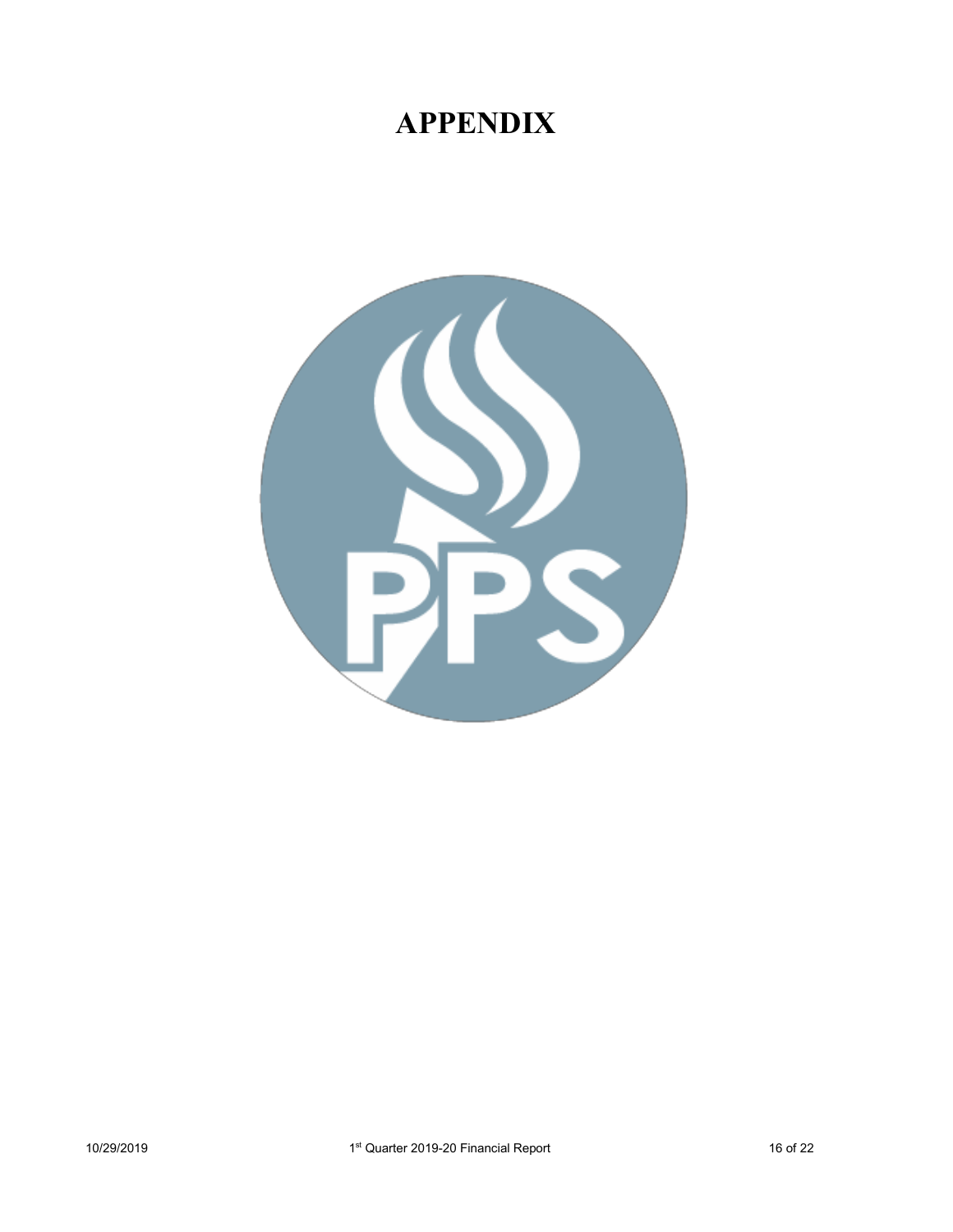# **APPENDIX**

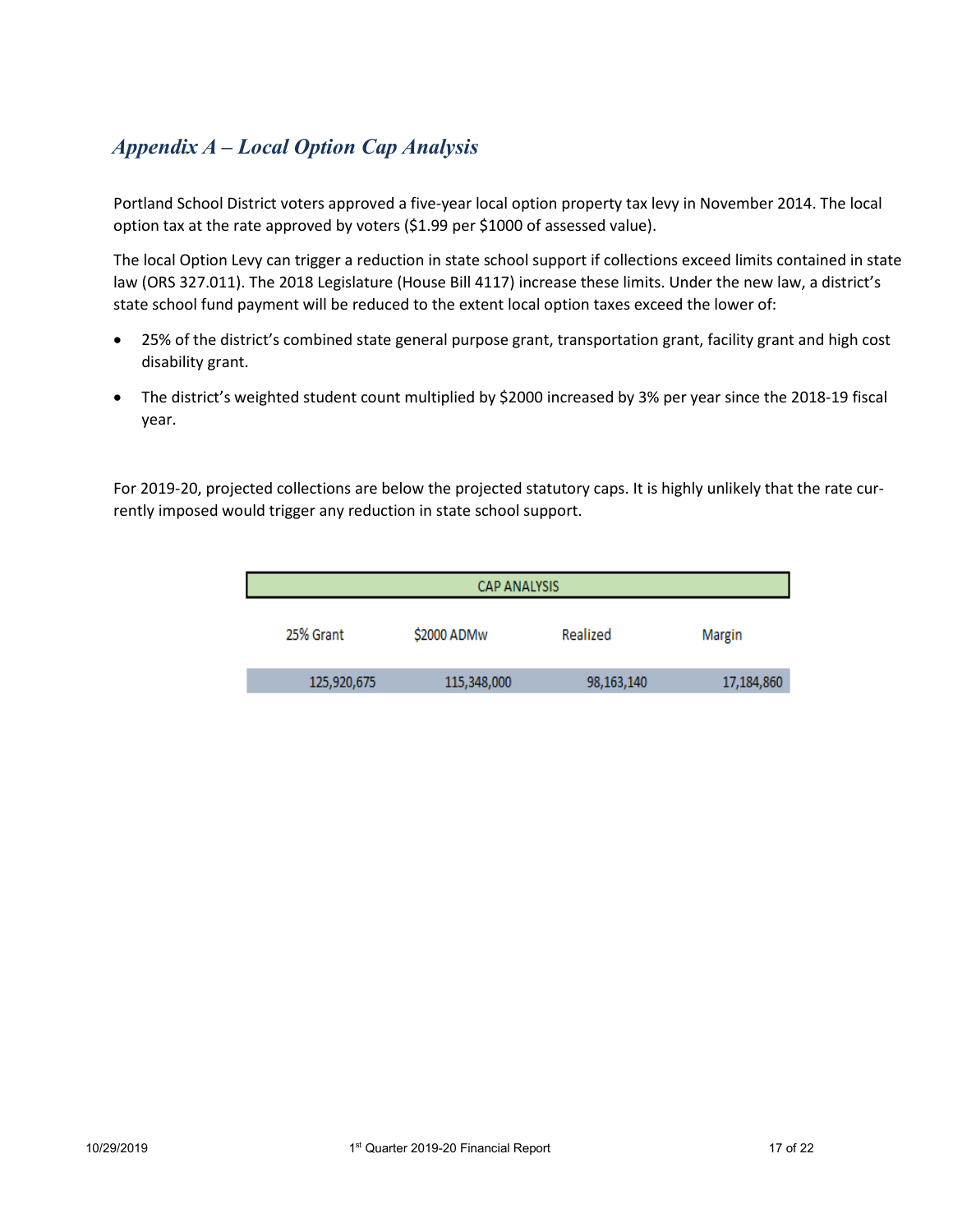#### *Appendix A – Local Option Cap Analysis*

Portland School District voters approved a five-year local option property tax levy in November 2014. The local option tax at the rate approved by voters (\$1.99 per \$1000 of assessed value).

The local Option Levy can trigger a reduction in state school support if collections exceed limits contained in state law (ORS 327.011). The 2018 Legislature (House Bill 4117) increase these limits. Under the new law, a district's state school fund payment will be reduced to the extent local option taxes exceed the lower of:

- 25% of the district's combined state general purpose grant, transportation grant, facility grant and high cost disability grant.
- The district's weighted student count multiplied by \$2000 increased by 3% per year since the 2018-19 fiscal year.

For 2019-20, projected collections are below the projected statutory caps. It is highly unlikely that the rate currently imposed would trigger any reduction in state school support.

| <b>CAP ANALYSIS</b> |             |            |            |  |  |  |  |  |
|---------------------|-------------|------------|------------|--|--|--|--|--|
| 25% Grant           | \$2000 ADMw | Realized   | Margin     |  |  |  |  |  |
| 125,920,675         | 115,348,000 | 98,163,140 | 17,184,860 |  |  |  |  |  |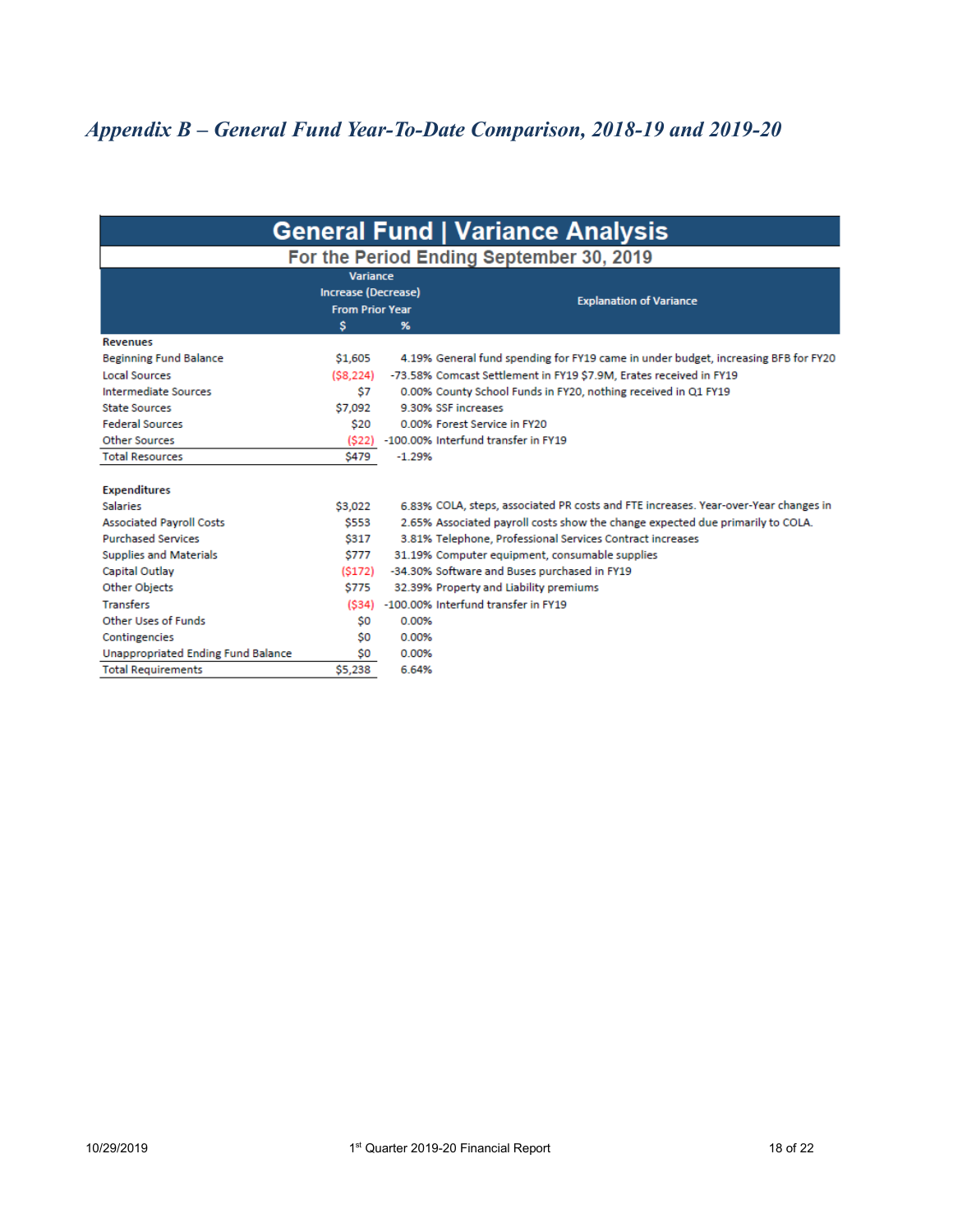#### *Appendix B – General Fund Year-To-Date Comparison, 2018-19 and 2019-20*

| <b>General Fund   Variance Analysis</b>          |                                                                  |                                                |                                                                                     |  |  |  |  |  |  |
|--------------------------------------------------|------------------------------------------------------------------|------------------------------------------------|-------------------------------------------------------------------------------------|--|--|--|--|--|--|
| For the Period Ending September 30, 2019         |                                                                  |                                                |                                                                                     |  |  |  |  |  |  |
|                                                  | <b>Variance</b><br>Increase (Decrease)<br><b>From Prior Year</b> |                                                | <b>Explanation of Variance</b>                                                      |  |  |  |  |  |  |
|                                                  | \$                                                               | $\frac{9}{6}$                                  |                                                                                     |  |  |  |  |  |  |
| <b>Revenues</b><br><b>Beginning Fund Balance</b> | \$1,605                                                          |                                                | 4.19% General fund spending for FY19 came in under budget, increasing BFB for FY20  |  |  |  |  |  |  |
| <b>Local Sources</b>                             | (S8, 224)                                                        |                                                | -73.58% Comcast Settlement in FY19 \$7.9M, Erates received in FY19                  |  |  |  |  |  |  |
| <b>Intermediate Sources</b>                      | \$7                                                              |                                                | 0.00% County School Funds in FY20, nothing received in Q1 FY19                      |  |  |  |  |  |  |
| <b>State Sources</b>                             | \$7,092                                                          | 9.30% SSE increases                            |                                                                                     |  |  |  |  |  |  |
| <b>Federal Sources</b>                           | \$20                                                             | 0.00% Forest Service in FY20                   |                                                                                     |  |  |  |  |  |  |
| <b>Other Sources</b>                             | (S22)                                                            | -100,00% Interfund transfer in FY19            |                                                                                     |  |  |  |  |  |  |
| <b>Total Resources</b>                           | <b>\$479</b>                                                     | $-1.29%$                                       |                                                                                     |  |  |  |  |  |  |
| <b>Expenditures</b>                              |                                                                  |                                                |                                                                                     |  |  |  |  |  |  |
| <b>Salaries</b>                                  | \$3,022                                                          |                                                | 6.83% COLA, steps, associated PR costs and FTE increases. Year-over-Year changes in |  |  |  |  |  |  |
| <b>Associated Payroll Costs</b>                  | \$553                                                            |                                                | 2.65% Associated payroll costs show the change expected due primarily to COLA.      |  |  |  |  |  |  |
| <b>Purchased Services</b>                        | <b>S317</b>                                                      |                                                | 3.81% Telephone, Professional Services Contract increases                           |  |  |  |  |  |  |
| <b>Supplies and Materials</b>                    | <b>S777</b>                                                      | 31.19% Computer equipment, consumable supplies |                                                                                     |  |  |  |  |  |  |
| Capital Outlay                                   | (S172)                                                           | -34.30% Software and Buses purchased in FY19   |                                                                                     |  |  |  |  |  |  |
| Other Objects                                    | \$775                                                            | 32.39% Property and Liability premiums         |                                                                                     |  |  |  |  |  |  |
| <b>Transfers</b>                                 | (S34)                                                            | -100.00% Interfund transfer in FY19            |                                                                                     |  |  |  |  |  |  |
| Other Uses of Funds                              | \$0                                                              | 0.00%                                          |                                                                                     |  |  |  |  |  |  |
| Contingencies                                    | \$0                                                              | 0.00%                                          |                                                                                     |  |  |  |  |  |  |
| <b>Unappropriated Ending Fund Balance</b>        | \$0                                                              | 0.00%                                          |                                                                                     |  |  |  |  |  |  |
| <b>Total Requirements</b>                        | \$5,238                                                          | 6.64%                                          |                                                                                     |  |  |  |  |  |  |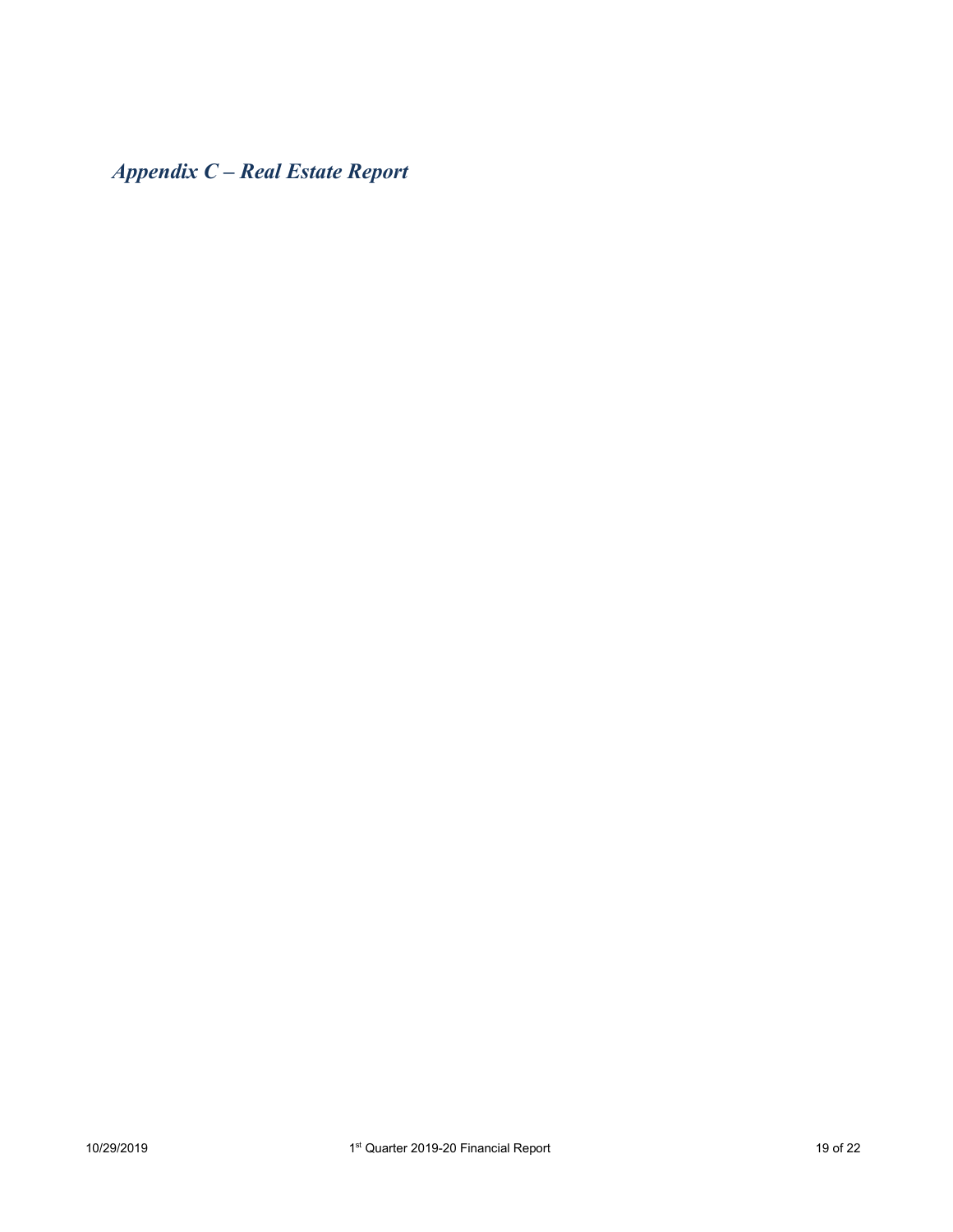*Appendix C – Real Estate Report*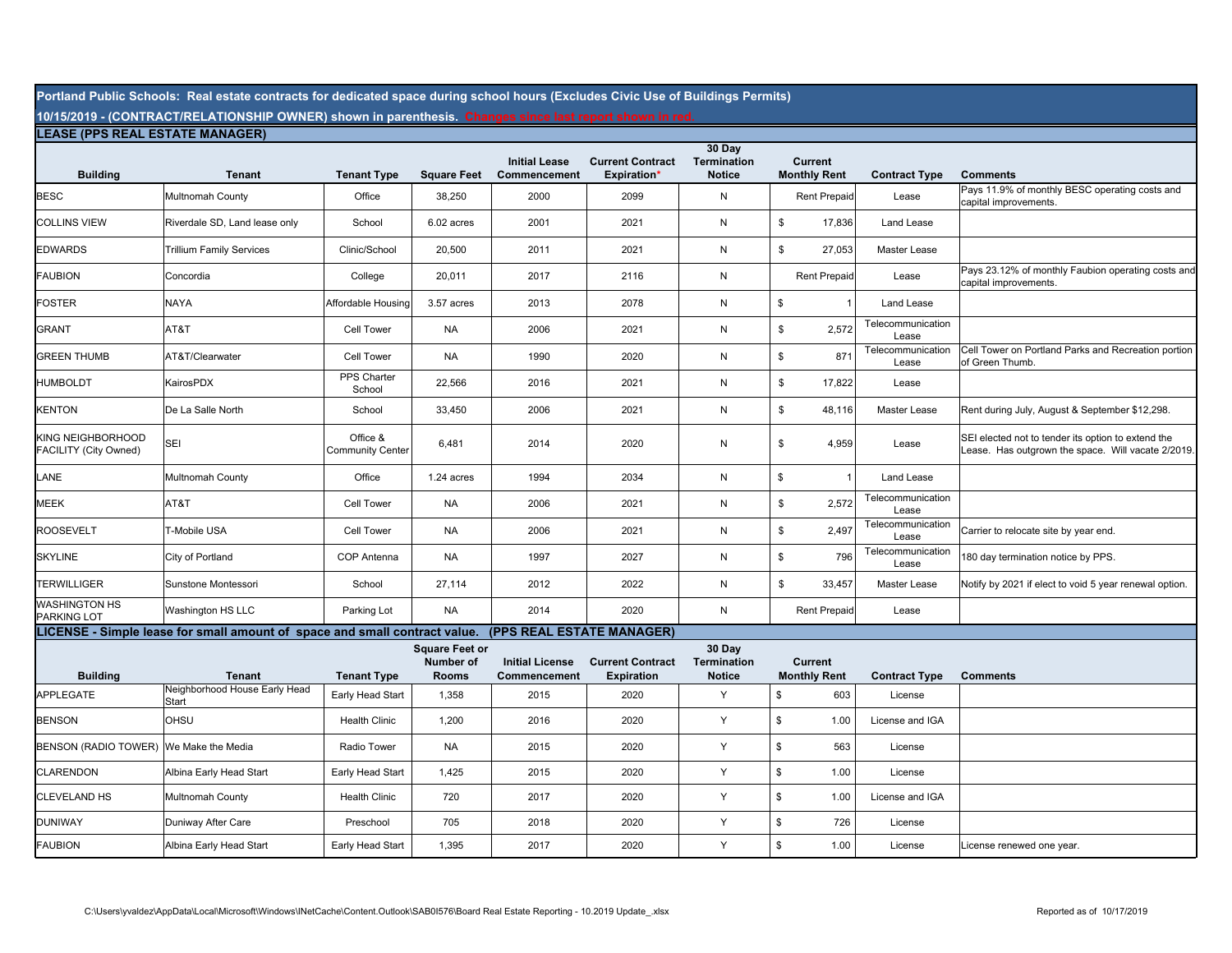**Portland Public Schools: Real estate contracts for dedicated space during school hours (Excludes Civic Use of Buildings Permits)**

**10/15/2019 - (CONTRACT/RELATIONSHIP OWNER) shown in parenthesis. Changes since last report shown in red. LEASE (PPS REAL ESTATE MANAGER)**

| LEASE (PPS REAL ESTATE MANAGER)            |                                                                            |                                     |                                                    |                                        |                                               |                                               |                                       |                            |                                                                                                          |
|--------------------------------------------|----------------------------------------------------------------------------|-------------------------------------|----------------------------------------------------|----------------------------------------|-----------------------------------------------|-----------------------------------------------|---------------------------------------|----------------------------|----------------------------------------------------------------------------------------------------------|
| <b>Building</b>                            | <b>Tenant</b>                                                              | <b>Tenant Type</b>                  | <b>Square Feet</b>                                 | <b>Initial Lease</b><br>Commencement   | <b>Current Contract</b><br><b>Expiration*</b> | 30 Day<br><b>Termination</b><br><b>Notice</b> | <b>Current</b><br><b>Monthly Rent</b> | <b>Contract Type</b>       | <b>Comments</b>                                                                                          |
| <b>BESC</b>                                | Multnomah County                                                           | Office                              | 38,250                                             | 2000                                   | 2099                                          | N                                             | <b>Rent Prepaid</b>                   | Lease                      | Pays 11.9% of monthly BESC operating costs and<br>capital improvements.                                  |
| <b>COLLINS VIEW</b>                        | Riverdale SD, Land lease only                                              | School                              | 6.02 acres                                         | 2001                                   | 2021                                          | N                                             | \$<br>17,836                          | Land Lease                 |                                                                                                          |
| <b>EDWARDS</b>                             | <b>Trillium Family Services</b>                                            | Clinic/School                       | 20,500                                             | 2011                                   | 2021                                          | N                                             | \$<br>27,053                          | Master Lease               |                                                                                                          |
| <b>FAUBION</b>                             | Concordia                                                                  | College                             | 20,011                                             | 2017                                   | 2116                                          | ${\sf N}$                                     | <b>Rent Prepaid</b>                   | Lease                      | Pays 23.12% of monthly Faubion operating costs and<br>capital improvements.                              |
| <b>FOSTER</b>                              | <b>NAYA</b>                                                                | Affordable Housing                  | 3.57 acres                                         | 2013                                   | 2078                                          | N                                             | \$                                    | Land Lease                 |                                                                                                          |
| <b>GRANT</b>                               | AT&T                                                                       | Cell Tower                          | NA                                                 | 2006                                   | 2021                                          | N                                             | \$<br>2,572                           | Telecommunication<br>Lease |                                                                                                          |
| <b>GREEN THUMB</b>                         | AT&T/Clearwater                                                            | Cell Tower                          | NA                                                 | 1990                                   | 2020                                          | N                                             | \$<br>871                             | Telecommunication<br>Lease | Cell Tower on Portland Parks and Recreation portion<br>of Green Thumb.                                   |
| <b>HUMBOLDT</b>                            | KairosPDX                                                                  | PPS Charter<br>School               | 22,566                                             | 2016                                   | 2021                                          | N                                             | \$<br>17,822                          | Lease                      |                                                                                                          |
| <b>KENTON</b>                              | De La Salle North                                                          | School                              | 33,450                                             | 2006                                   | 2021                                          | N                                             | \$<br>48,116                          | Master Lease               | Rent during July, August & September \$12,298.                                                           |
| KING NEIGHBORHOOD<br>FACILITY (City Owned) | <b>SEI</b>                                                                 | Office &<br><b>Community Center</b> | 6,481                                              | 2014                                   | 2020                                          | N                                             | \$<br>4,959                           | Lease                      | SEI elected not to tender its option to extend the<br>Lease. Has outgrown the space. Will vacate 2/2019. |
| LANE                                       | Multnomah County                                                           | Office                              | 1.24 acres                                         | 1994                                   | 2034                                          | N                                             | \$<br>$\overline{1}$                  | Land Lease                 |                                                                                                          |
| <b>MEEK</b>                                | AT&T                                                                       | Cell Tower                          | <b>NA</b>                                          | 2006                                   | 2021                                          | N                                             | \$<br>2,572                           | Telecommunication<br>Lease |                                                                                                          |
| <b>ROOSEVELT</b>                           | T-Mobile USA                                                               | <b>Cell Tower</b>                   | <b>NA</b>                                          | 2006                                   | 2021                                          | N                                             | \$<br>2,497                           | Telecommunication<br>Lease | Carrier to relocate site by year end.                                                                    |
| <b>SKYLINE</b>                             | City of Portland                                                           | COP Antenna                         | <b>NA</b>                                          | 1997                                   | 2027                                          | ${\sf N}$                                     | \$<br>796                             | Telecommunication<br>Lease | 180 day termination notice by PPS.                                                                       |
| <b>TERWILLIGER</b>                         | Sunstone Montessori                                                        | School                              | 27,114                                             | 2012                                   | 2022                                          | N                                             | \$<br>33,457                          | Master Lease               | Notify by 2021 if elect to void 5 year renewal option.                                                   |
| <b>WASHINGTON HS</b><br><b>PARKING LOT</b> | Washington HS LLC                                                          | Parking Lot                         | <b>NA</b>                                          | 2014                                   | 2020                                          | N                                             | <b>Rent Prepaid</b>                   | Lease                      |                                                                                                          |
|                                            | LICENSE - Simple lease for small amount of space and small contract value. |                                     |                                                    | (PPS REAL ESTATE MANAGER)              |                                               |                                               |                                       |                            |                                                                                                          |
| <b>Building</b>                            | <b>Tenant</b>                                                              | <b>Tenant Type</b>                  | <b>Square Feet or</b><br>Number of<br><b>Rooms</b> | <b>Initial License</b><br>Commencement | <b>Current Contract</b><br><b>Expiration</b>  | 30 Day<br><b>Termination</b><br><b>Notice</b> | <b>Current</b><br><b>Monthly Rent</b> | <b>Contract Type</b>       | <b>Comments</b>                                                                                          |
| <b>APPLEGATE</b>                           | Neighborhood House Early Head<br>Start                                     | Early Head Start                    | 1,358                                              | 2015                                   | 2020                                          | Y                                             | \$<br>603                             | License                    |                                                                                                          |
| <b>BENSON</b>                              | <b>OHSU</b>                                                                | <b>Health Clinic</b>                | 1,200                                              | 2016                                   | 2020                                          | Y                                             | \$<br>1.00                            | License and IGA            |                                                                                                          |
| BENSON (RADIO TOWER) We Make the Media     |                                                                            | Radio Tower                         | <b>NA</b>                                          | 2015                                   | 2020                                          | Υ                                             | \$<br>563                             | License                    |                                                                                                          |
| <b>CLARENDON</b>                           | Albina Early Head Start                                                    | Early Head Start                    | 1,425                                              | 2015                                   | 2020                                          | Υ                                             | \$<br>1.00                            | License                    |                                                                                                          |
| <b>CLEVELAND HS</b>                        | Multnomah County                                                           | <b>Health Clinic</b>                | 720                                                | 2017                                   | 2020                                          | Y                                             | \$<br>1.00                            | License and IGA            |                                                                                                          |
| <b>DUNIWAY</b>                             | Duniway After Care                                                         | Preschool                           | 705                                                | 2018                                   | 2020                                          | Y                                             | \$<br>726                             | License                    |                                                                                                          |
| <b>FAUBION</b>                             | Albina Early Head Start                                                    | Early Head Start                    | 1,395                                              | 2017                                   | 2020                                          | Y                                             | 1.00<br>\$                            | License                    | License renewed one vear.                                                                                |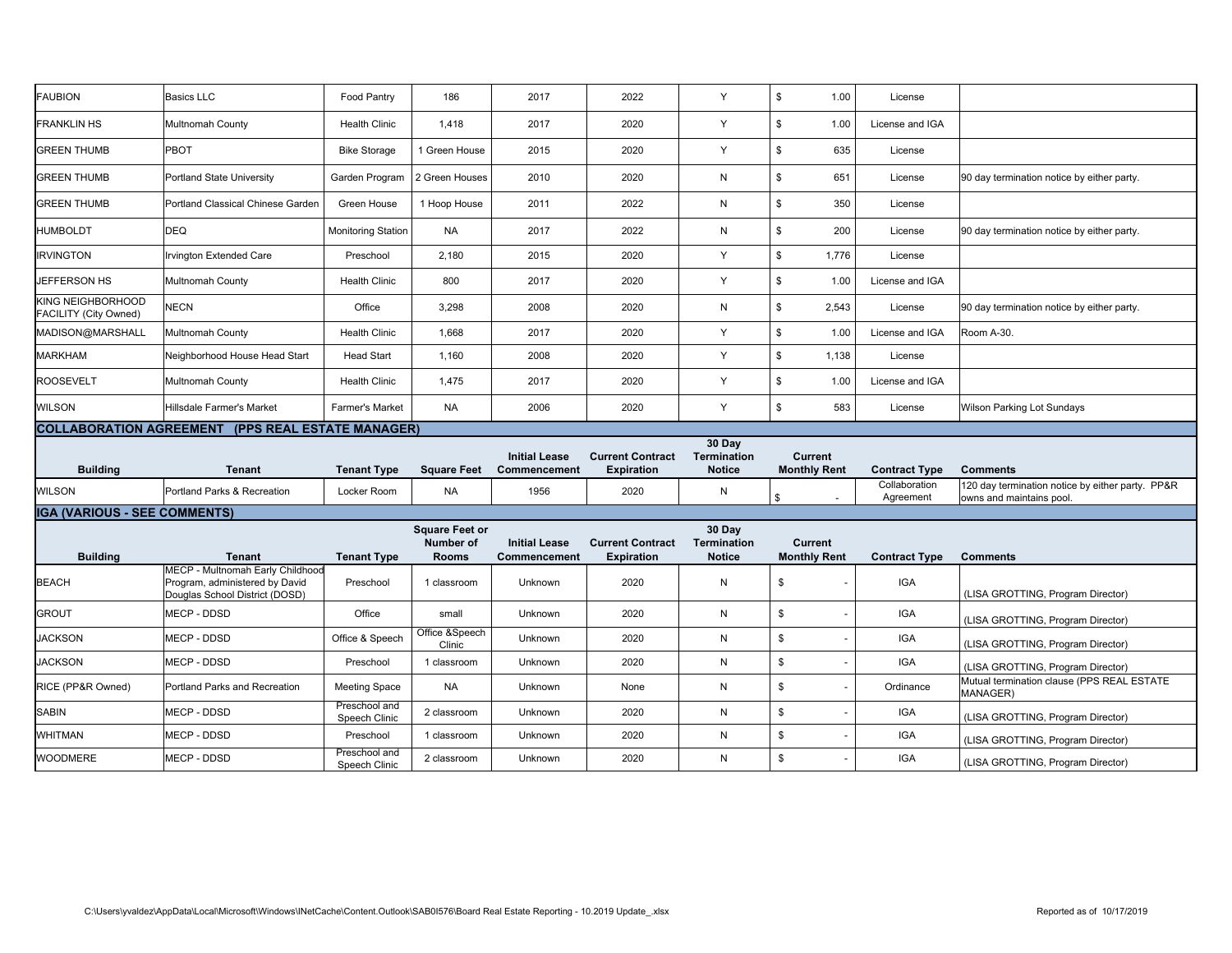| <b>FAUBION</b>                                    | <b>Basics LLC</b>                                                                                    | Food Pantry                    | 186                                                | 2017                                 | 2022                                         | Y                                             | $$\mathbb{S}$$<br>1.00                | License                    |                                                                              |
|---------------------------------------------------|------------------------------------------------------------------------------------------------------|--------------------------------|----------------------------------------------------|--------------------------------------|----------------------------------------------|-----------------------------------------------|---------------------------------------|----------------------------|------------------------------------------------------------------------------|
| <b>FRANKLIN HS</b>                                | Multnomah County                                                                                     | <b>Health Clinic</b>           | 1,418                                              | 2017                                 | 2020                                         | Y                                             | \$<br>1.00                            | License and IGA            |                                                                              |
| <b>GREEN THUMB</b>                                | PBOT                                                                                                 | <b>Bike Storage</b>            | 1 Green House                                      | 2015                                 | 2020                                         | Υ                                             | $$\mathbb{S}$$<br>635                 | License                    |                                                                              |
| <b>GREEN THUMB</b>                                | <b>Portland State University</b>                                                                     | Garden Program                 | 2 Green Houses                                     | 2010                                 | 2020                                         | N                                             | $\mathbb{S}$<br>651                   | License                    | 90 day termination notice by either party.                                   |
| <b>GREEN THUMB</b>                                | Portland Classical Chinese Garden                                                                    | Green House                    | 1 Hoop House                                       | 2011                                 | 2022                                         | N                                             | $$\mathbb{S}$$<br>350                 | License                    |                                                                              |
| <b>HUMBOLDT</b>                                   | <b>DEQ</b>                                                                                           | <b>Monitoring Station</b>      | <b>NA</b>                                          | 2017                                 | 2022                                         | N                                             | $$\mathbb{S}$$<br>200                 | License                    | 90 day termination notice by either party.                                   |
| <b>IRVINGTON</b>                                  | Irvington Extended Care                                                                              | Preschool                      | 2,180                                              | 2015                                 | 2020                                         | Y                                             | $$\mathbb{S}$$<br>1,776               | License                    |                                                                              |
| JEFFERSON HS                                      | Multnomah County                                                                                     | <b>Health Clinic</b>           | 800                                                | 2017                                 | 2020                                         | Y                                             | $$\mathbb{S}$$<br>1.00                | License and IGA            |                                                                              |
| <b>KING NEIGHBORHOOD</b><br>FACILITY (City Owned) | <b>NECN</b>                                                                                          | Office                         | 3,298                                              | 2008                                 | 2020                                         | $\mathsf{N}$                                  | $$\mathbb{S}$$<br>2,543               | License                    | 90 day termination notice by either party.                                   |
| MADISON@MARSHALL                                  | Multnomah County                                                                                     | <b>Health Clinic</b>           | 1,668                                              | 2017                                 | 2020                                         | Y                                             | $\mathfrak s$<br>1.00                 | License and IGA            | Room A-30.                                                                   |
| <b>MARKHAM</b>                                    | Neighborhood House Head Start                                                                        | <b>Head Start</b>              | 1,160                                              | 2008                                 | 2020                                         | Y                                             | $\mathfrak s$<br>1,138                | License                    |                                                                              |
| <b>ROOSEVELT</b>                                  | Multnomah County                                                                                     | <b>Health Clinic</b>           | 1,475                                              | 2017                                 | 2020                                         | Y                                             | \$<br>1.00                            | License and IGA            |                                                                              |
| <b>WILSON</b>                                     | Hillsdale Farmer's Market                                                                            | <b>Farmer's Market</b>         | <b>NA</b>                                          | 2006                                 | 2020                                         | Y                                             | $$\mathbb{S}$$<br>583                 | License                    | <b>Wilson Parking Lot Sundays</b>                                            |
|                                                   | <b>COLLABORATION AGREEMENT (PPS REAL ESTATE MANAGER)</b>                                             |                                |                                                    |                                      |                                              |                                               |                                       |                            |                                                                              |
|                                                   |                                                                                                      |                                |                                                    |                                      |                                              |                                               |                                       |                            |                                                                              |
| <b>Building</b>                                   | Tenant                                                                                               | <b>Tenant Type</b>             | <b>Square Feet</b>                                 | <b>Initial Lease</b><br>Commencement | <b>Current Contract</b><br><b>Expiration</b> | 30 Day<br><b>Termination</b><br><b>Notice</b> | <b>Current</b><br><b>Monthly Rent</b> | <b>Contract Type</b>       | <b>Comments</b>                                                              |
| <b>WILSON</b>                                     | Portland Parks & Recreation                                                                          | Locker Room                    | <b>NA</b>                                          | 1956                                 | 2020                                         | N                                             | \$                                    | Collaboration<br>Agreement | 120 day termination notice by either party. PP&R<br>owns and maintains pool. |
| <b>IGA (VARIOUS - SEE COMMENTS)</b>               |                                                                                                      |                                |                                                    |                                      |                                              |                                               |                                       |                            |                                                                              |
| <b>Building</b>                                   | Tenant                                                                                               | <b>Tenant Type</b>             | <b>Square Feet or</b><br>Number of<br><b>Rooms</b> | <b>Initial Lease</b><br>Commencement | <b>Current Contract</b><br><b>Expiration</b> | 30 Day<br><b>Termination</b><br><b>Notice</b> | <b>Current</b><br><b>Monthly Rent</b> | <b>Contract Type</b>       | <b>Comments</b>                                                              |
| <b>BEACH</b>                                      | MECP - Multnomah Early Childhood<br>Program, administered by David<br>Douglas School District (DOSD) | Preschool                      | 1 classroom                                        | Unknown                              | 2020                                         | N                                             | \$                                    | <b>IGA</b>                 | (LISA GROTTING, Program Director)                                            |
| <b>GROUT</b>                                      | MECP - DDSD                                                                                          | Office                         | small                                              | Unknown                              | 2020                                         | N                                             | \$                                    | <b>IGA</b>                 | (LISA GROTTING, Program Director)                                            |
| <b>JACKSON</b>                                    | MECP - DDSD                                                                                          | Office & Speech                | Office &Speech<br>Clinic                           | Unknown                              | 2020                                         | N                                             | \$                                    | <b>IGA</b>                 | (LISA GROTTING, Program Director)                                            |
| <b>JACKSON</b>                                    | MECP - DDSD                                                                                          | Preschool                      | 1 classroom                                        | Unknown                              | 2020                                         | N                                             | \$                                    | <b>IGA</b>                 | (LISA GROTTING, Program Director)                                            |
| RICE (PP&R Owned)                                 | Portland Parks and Recreation                                                                        | <b>Meeting Space</b>           | <b>NA</b>                                          | Unknown                              | None                                         | N                                             | \$                                    | Ordinance                  | Mutual termination clause (PPS REAL ESTATE<br>MANAGER)                       |
| SABIN                                             | MECP - DDSD                                                                                          | Preschool and<br>Speech Clinic | 2 classroom                                        | Unknown                              | 2020                                         | N                                             | \$                                    | <b>IGA</b>                 | (LISA GROTTING, Program Director)                                            |
| <b>WHITMAN</b>                                    | MECP - DDSD                                                                                          | Preschool<br>Preschool and     | 1 classroom                                        | Unknown                              | 2020                                         | N                                             | \$                                    | <b>IGA</b>                 | (LISA GROTTING, Program Director)                                            |